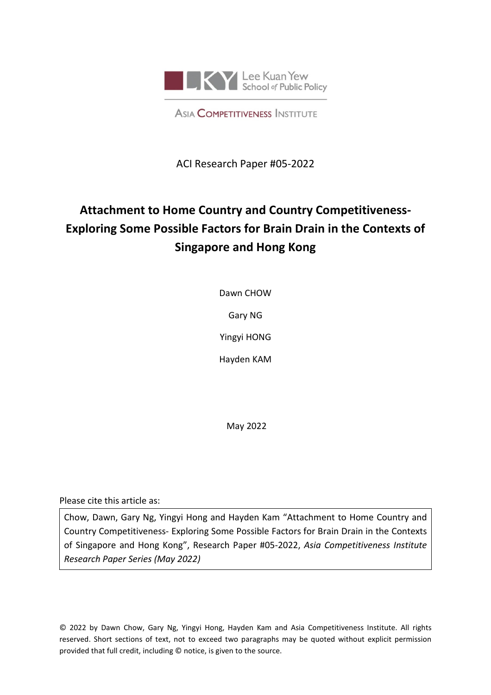

**ASIA COMPETITIVENESS INSTITUTE** 

ACI Research Paper #05-2022

# **Attachment to Home Country and Country Competitiveness-Exploring Some Possible Factors for Brain Drain in the Contexts of Singapore and Hong Kong**

Dawn CHOW

Gary NG

Yingyi HONG

Hayden KAM

May 2022

Please cite this article as:

Chow, Dawn, Gary Ng, Yingyi Hong and Hayden Kam "Attachment to Home Country and Country Competitiveness- Exploring Some Possible Factors for Brain Drain in the Contexts of Singapore and Hong Kong", Research Paper #05-2022, *Asia Competitiveness Institute Research Paper Series (May 2022)*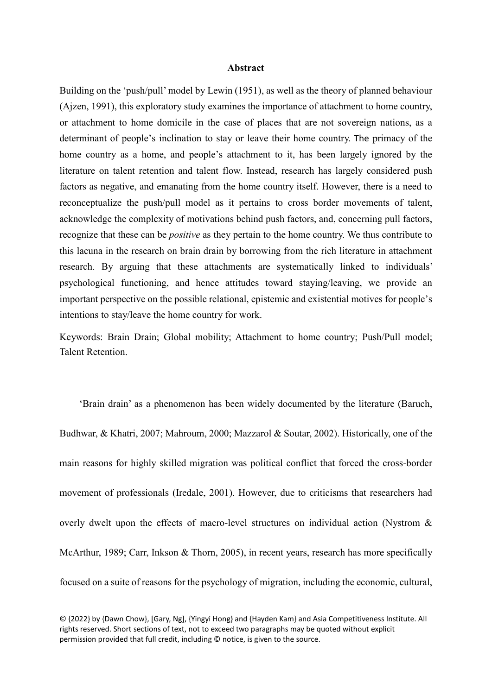## **Abstract**

Building on the 'push/pull' model by Lewin (1951), as well as the theory of planned behaviour (Ajzen, 1991), this exploratory study examines the importance of attachment to home country, or attachment to home domicile in the case of places that are not sovereign nations, as a determinant of people's inclination to stay or leave their home country. The primacy of the home country as a home, and people's attachment to it, has been largely ignored by the literature on talent retention and talent flow. Instead, research has largely considered push factors as negative, and emanating from the home country itself. However, there is a need to reconceptualize the push/pull model as it pertains to cross border movements of talent, acknowledge the complexity of motivations behind push factors, and, concerning pull factors, recognize that these can be *positive* as they pertain to the home country. We thus contribute to this lacuna in the research on brain drain by borrowing from the rich literature in attachment research. By arguing that these attachments are systematically linked to individuals' psychological functioning, and hence attitudes toward staying/leaving, we provide an important perspective on the possible relational, epistemic and existential motives for people's intentions to stay/leave the home country for work.

Keywords: Brain Drain; Global mobility; Attachment to home country; Push/Pull model; Talent Retention.

'Brain drain' as a phenomenon has been widely documented by the literature (Baruch, Budhwar, & Khatri, 2007; Mahroum, 2000; Mazzarol & Soutar, 2002). Historically, one of the main reasons for highly skilled migration was political conflict that forced the cross-border movement of professionals (Iredale, 2001). However, due to criticisms that researchers had overly dwelt upon the effects of macro-level structures on individual action (Nystrom & McArthur, 1989; Carr, Inkson & Thorn, 2005), in recent years, research has more specifically focused on a suite of reasons for the psychology of migration, including the economic, cultural,

<sup>© {2022}</sup> by {Dawn Chow}, [Gary, Ng], {Yingyi Hong} and {Hayden Kam} and Asia Competitiveness Institute. All rights reserved. Short sections of text, not to exceed two paragraphs may be quoted without explicit permission provided that full credit, including © notice, is given to the source.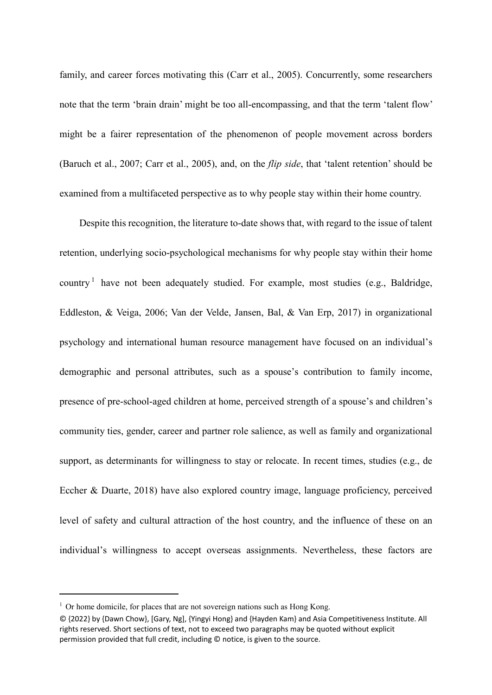family, and career forces motivating this (Carr et al., 2005). Concurrently, some researchers note that the term 'brain drain' might be too all-encompassing, and that the term 'talent flow' might be a fairer representation of the phenomenon of people movement across borders (Baruch et al., 2007; Carr et al., 2005), and, on the *flip side*, that 'talent retention' should be examined from a multifaceted perspective as to why people stay within their home country.

Despite this recognition, the literature to-date shows that, with regard to the issue of talent retention, underlying socio-psychological mechanisms for why people stay within their home country<sup>[1](#page-2-0)</sup> have not been adequately studied. For example, most studies (e.g., Baldridge, Eddleston, & Veiga, 2006; Van der Velde, Jansen, Bal, & Van Erp, 2017) in organizational psychology and international human resource management have focused on an individual's demographic and personal attributes, such as a spouse's contribution to family income, presence of pre-school‐aged children at home, perceived strength of a spouse's and children's community ties, gender, career and partner role salience, as well as family and organizational support, as determinants for willingness to stay or relocate. In recent times, studies (e.g., de Eccher & Duarte, 2018) have also explored country image, language proficiency, perceived level of safety and cultural attraction of the host country, and the influence of these on an individual's willingness to accept overseas assignments. Nevertheless, these factors are

<u>.</u>

<span id="page-2-0"></span><sup>&</sup>lt;sup>1</sup> Or home domicile, for places that are not sovereign nations such as Hong Kong.

<sup>© {2022}</sup> by {Dawn Chow}, [Gary, Ng], {Yingyi Hong} and {Hayden Kam} and Asia Competitiveness Institute. All rights reserved. Short sections of text, not to exceed two paragraphs may be quoted without explicit permission provided that full credit, including © notice, is given to the source.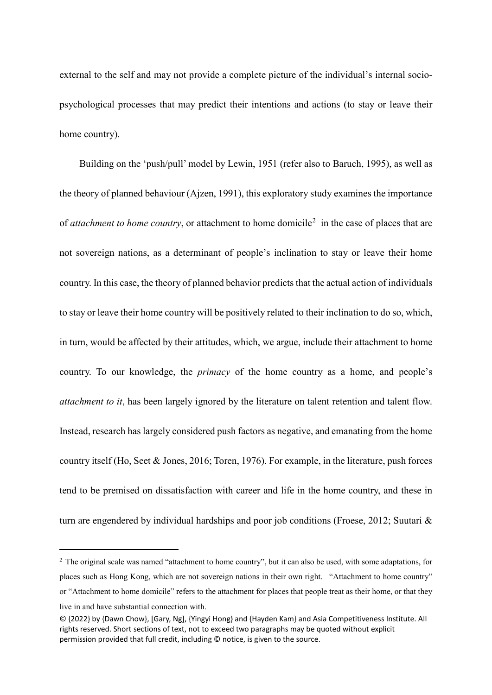external to the self and may not provide a complete picture of the individual's internal sociopsychological processes that may predict their intentions and actions (to stay or leave their home country).

Building on the 'push/pull' model by Lewin, 1951 (refer also to Baruch, 1995), as well as the theory of planned behaviour (Ajzen, 1991), this exploratory study examines the importance of *attachment to home country*, or attachment to home domicile<sup>[2](#page-3-0)</sup> in the case of places that are not sovereign nations, as a determinant of people's inclination to stay or leave their home country. In this case, the theory of planned behavior predicts that the actual action of individuals to stay or leave their home country will be positively related to their inclination to do so, which, in turn, would be affected by their attitudes, which, we argue, include their attachment to home country. To our knowledge, the *primacy* of the home country as a home, and people's *attachment to it*, has been largely ignored by the literature on talent retention and talent flow. Instead, research has largely considered push factors as negative, and emanating from the home country itself (Ho, Seet & Jones, 2016; Toren, 1976). For example, in the literature, push forces tend to be premised on dissatisfaction with career and life in the home country, and these in turn are engendered by individual hardships and poor job conditions (Froese, 2012; Suutari &

<u>.</u>

<span id="page-3-0"></span><sup>&</sup>lt;sup>2</sup> The original scale was named "attachment to home country", but it can also be used, with some adaptations, for places such as Hong Kong, which are not sovereign nations in their own right. "Attachment to home country" or "Attachment to home domicile" refers to the attachment for places that people treat as their home, or that they live in and have substantial connection with.

<sup>© {2022}</sup> by {Dawn Chow}, [Gary, Ng], {Yingyi Hong} and {Hayden Kam} and Asia Competitiveness Institute. All rights reserved. Short sections of text, not to exceed two paragraphs may be quoted without explicit permission provided that full credit, including © notice, is given to the source.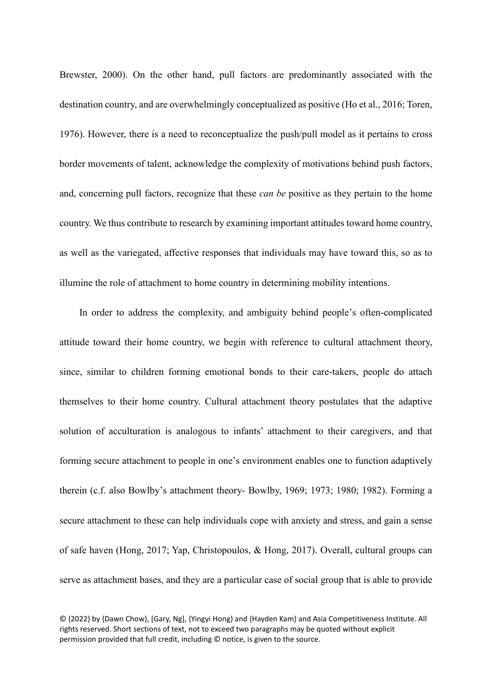Brewster, 2000). On the other hand, pull factors are predominantly associated with the destination country, and are overwhelmingly conceptualized as positive (Ho et al., 2016; Toren, 1976). However, there is a need to reconceptualize the push/pull model as it pertains to cross border movements of talent, acknowledge the complexity of motivations behind push factors, and, concerning pull factors, recognize that these *can be* positive as they pertain to the home country. We thus contribute to research by examining important attitudes toward home country, as well as the variegated, affective responses that individuals may have toward this, so as to illumine the role of attachment to home country in determining mobility intentions.

In order to address the complexity, and ambiguity behind people's often-complicated attitude toward their home country, we begin with reference to cultural attachment theory, since, similar to children forming emotional bonds to their care-takers, people do attach themselves to their home country. Cultural attachment theory postulates that the adaptive solution of acculturation is analogous to infants' attachment to their caregivers, and that forming secure attachment to people in one's environment enables one to function adaptively therein (c.f. also Bowlby's attachment theory- Bowlby, 1969; 1973; 1980; 1982). Forming a secure attachment to these can help individuals cope with anxiety and stress, and gain a sense of safe haven (Hong, 2017; Yap, Christopoulos, & Hong, 2017). Overall, cultural groups can serve as attachment bases, and they are a particular case of social group that is able to provide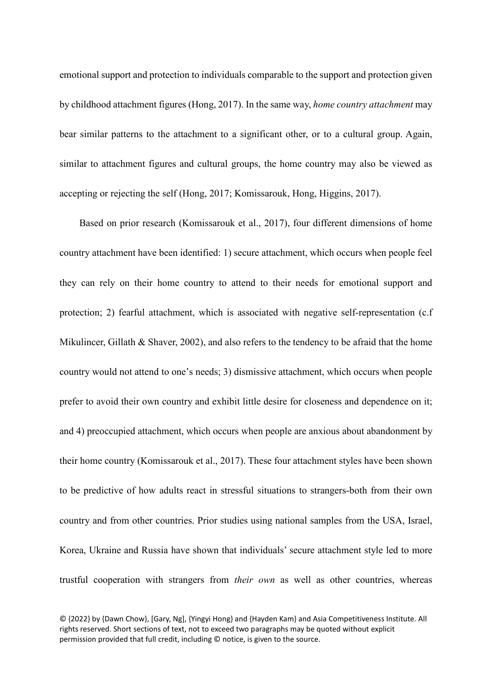emotional support and protection to individuals comparable to the support and protection given by childhood attachment figures (Hong, 2017). In the same way, *home country attachment* may bear similar patterns to the attachment to a significant other, or to a cultural group. Again, similar to attachment figures and cultural groups, the home country may also be viewed as accepting or rejecting the self (Hong, 2017; Komissarouk, Hong, Higgins, 2017).

Based on prior research (Komissarouk et al., 2017), four different dimensions of home country attachment have been identified: 1) secure attachment, which occurs when people feel they can rely on their home country to attend to their needs for emotional support and protection; 2) fearful attachment, which is associated with negative self-representation (c.f Mikulincer, Gillath & Shaver, 2002), and also refers to the tendency to be afraid that the home country would not attend to one's needs; 3) dismissive attachment, which occurs when people prefer to avoid their own country and exhibit little desire for closeness and dependence on it; and 4) preoccupied attachment, which occurs when people are anxious about abandonment by their home country (Komissarouk et al., 2017). These four attachment styles have been shown to be predictive of how adults react in stressful situations to strangers-both from their own country and from other countries. Prior studies using national samples from the USA, Israel, Korea, Ukraine and Russia have shown that individuals' secure attachment style led to more trustful cooperation with strangers from *their own* as well as other countries, whereas

<sup>© {2022}</sup> by {Dawn Chow}, [Gary, Ng], {Yingyi Hong} and {Hayden Kam} and Asia Competitiveness Institute. All rights reserved. Short sections of text, not to exceed two paragraphs may be quoted without explicit permission provided that full credit, including © notice, is given to the source.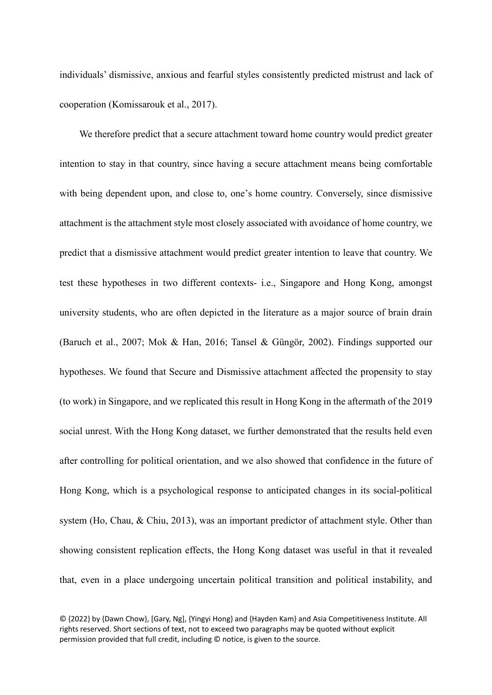individuals' dismissive, anxious and fearful styles consistently predicted mistrust and lack of cooperation (Komissarouk et al., 2017).

We therefore predict that a secure attachment toward home country would predict greater intention to stay in that country, since having a secure attachment means being comfortable with being dependent upon, and close to, one's home country. Conversely, since dismissive attachment is the attachment style most closely associated with avoidance of home country, we predict that a dismissive attachment would predict greater intention to leave that country. We test these hypotheses in two different contexts- i.e., Singapore and Hong Kong, amongst university students, who are often depicted in the literature as a major source of brain drain (Baruch et al., 2007; Mok & Han, 2016; Tansel & Güngör, 2002). Findings supported our hypotheses. We found that Secure and Dismissive attachment affected the propensity to stay (to work) in Singapore, and we replicated this result in Hong Kong in the aftermath of the 2019 social unrest. With the Hong Kong dataset, we further demonstrated that the results held even after controlling for political orientation, and we also showed that confidence in the future of Hong Kong, which is a psychological response to anticipated changes in its social-political system (Ho, Chau, & Chiu, 2013), was an important predictor of attachment style. Other than showing consistent replication effects, the Hong Kong dataset was useful in that it revealed that, even in a place undergoing uncertain political transition and political instability, and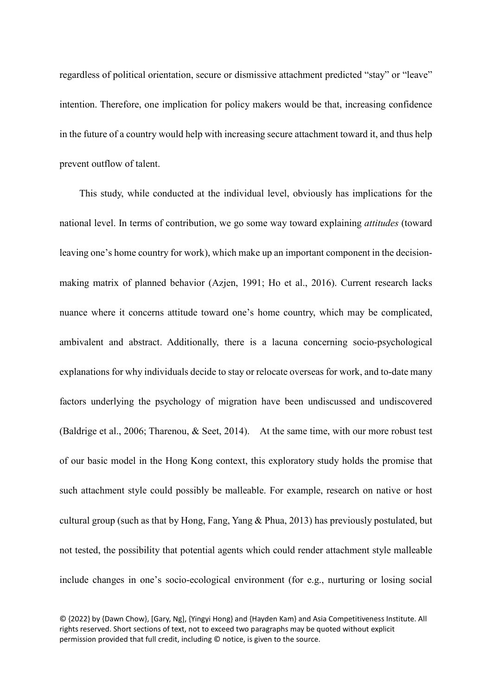regardless of political orientation, secure or dismissive attachment predicted "stay" or "leave" intention. Therefore, one implication for policy makers would be that, increasing confidence in the future of a country would help with increasing secure attachment toward it, and thus help prevent outflow of talent.

This study, while conducted at the individual level, obviously has implications for the national level. In terms of contribution, we go some way toward explaining *attitudes* (toward leaving one's home country for work), which make up an important component in the decisionmaking matrix of planned behavior (Azjen, 1991; Ho et al., 2016). Current research lacks nuance where it concerns attitude toward one's home country, which may be complicated, ambivalent and abstract. Additionally, there is a lacuna concerning socio-psychological explanations for why individuals decide to stay or relocate overseas for work, and to-date many factors underlying the psychology of migration have been undiscussed and undiscovered (Baldrige et al., 2006; Tharenou, & Seet, 2014). At the same time, with our more robust test of our basic model in the Hong Kong context, this exploratory study holds the promise that such attachment style could possibly be malleable. For example, research on native or host cultural group (such as that by Hong, Fang, Yang & Phua, 2013) has previously postulated, but not tested, the possibility that potential agents which could render attachment style malleable include changes in one's socio-ecological environment (for e.g., nurturing or losing social

<sup>© {2022}</sup> by {Dawn Chow}, [Gary, Ng], {Yingyi Hong} and {Hayden Kam} and Asia Competitiveness Institute. All rights reserved. Short sections of text, not to exceed two paragraphs may be quoted without explicit permission provided that full credit, including © notice, is given to the source.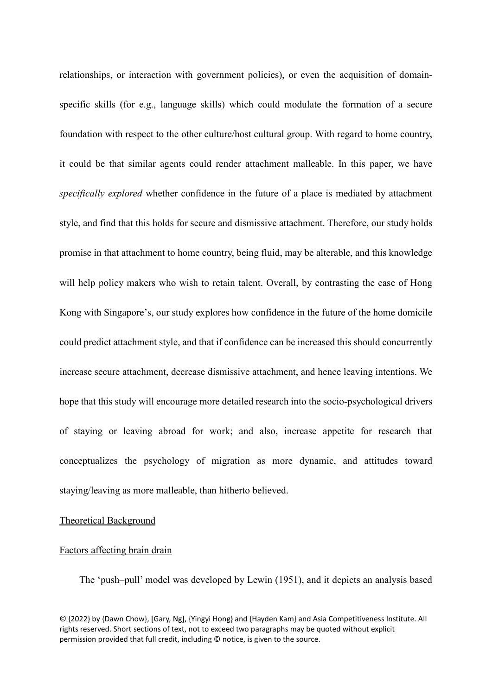relationships, or interaction with government policies), or even the acquisition of domainspecific skills (for e.g., language skills) which could modulate the formation of a secure foundation with respect to the other culture/host cultural group. With regard to home country, it could be that similar agents could render attachment malleable. In this paper, we have *specifically explored* whether confidence in the future of a place is mediated by attachment style, and find that this holds for secure and dismissive attachment. Therefore, our study holds promise in that attachment to home country, being fluid, may be alterable, and this knowledge will help policy makers who wish to retain talent. Overall, by contrasting the case of Hong Kong with Singapore's, our study explores how confidence in the future of the home domicile could predict attachment style, and that if confidence can be increased this should concurrently increase secure attachment, decrease dismissive attachment, and hence leaving intentions. We hope that this study will encourage more detailed research into the socio-psychological drivers of staying or leaving abroad for work; and also, increase appetite for research that conceptualizes the psychology of migration as more dynamic, and attitudes toward staying/leaving as more malleable, than hitherto believed.

# Theoretical Background

#### Factors affecting brain drain

The 'push–pull' model was developed by Lewin (1951), and it depicts an analysis based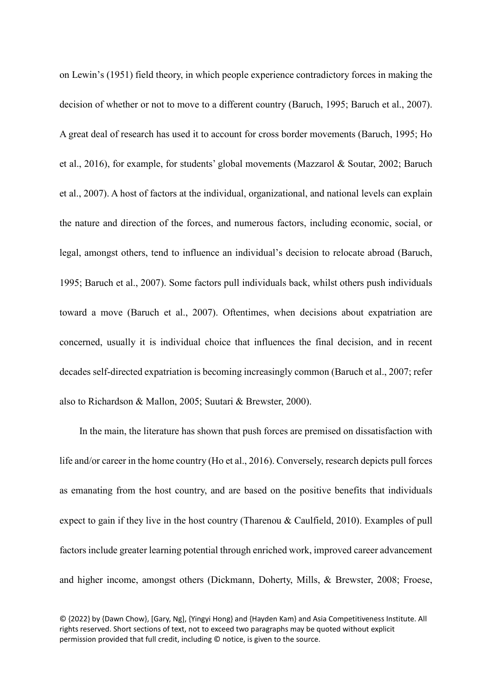on Lewin's (1951) field theory, in which people experience contradictory forces in making the decision of whether or not to move to a different country (Baruch, 1995; Baruch et al., 2007). A great deal of research has used it to account for cross border movements (Baruch, 1995; Ho et al., 2016), for example, for students' global movements (Mazzarol & Soutar, 2002; Baruch et al., 2007). A host of factors at the individual, organizational, and national levels can explain the nature and direction of the forces, and numerous factors, including economic, social, or legal, amongst others, tend to influence an individual's decision to relocate abroad (Baruch, 1995; Baruch et al., 2007). Some factors pull individuals back, whilst others push individuals toward a move (Baruch et al., 2007). Oftentimes, when decisions about expatriation are concerned, usually it is individual choice that influences the final decision, and in recent decades self-directed expatriation is becoming increasingly common (Baruch et al., 2007; refer also to Richardson & Mallon, 2005; Suutari & Brewster, 2000).

In the main, the literature has shown that push forces are premised on dissatisfaction with life and/or career in the home country (Ho et al., 2016). Conversely, research depicts pull forces as emanating from the host country, and are based on the positive benefits that individuals expect to gain if they live in the host country (Tharenou & Caulfield, 2010). Examples of pull factors include greater learning potential through enriched work, improved career advancement and higher income, amongst others (Dickmann, Doherty, Mills, & Brewster, 2008; Froese,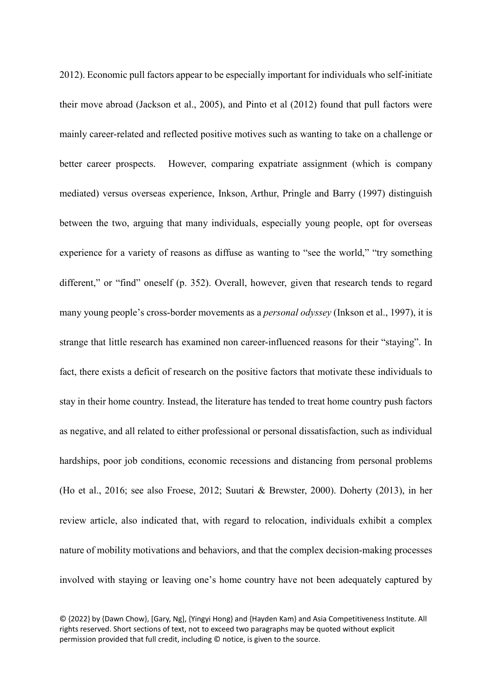2012). Economic pull factors appear to be especially important for individuals who self-initiate their move abroad (Jackson et al., 2005), and Pinto et al (2012) found that pull factors were mainly career-related and reflected positive motives such as wanting to take on a challenge or better career prospects. However, comparing expatriate assignment (which is company mediated) versus overseas experience, Inkson, Arthur, Pringle and Barry (1997) distinguish between the two, arguing that many individuals, especially young people, opt for overseas experience for a variety of reasons as diffuse as wanting to "see the world," "try something different," or "find" oneself (p. 352). Overall, however, given that research tends to regard many young people's cross-border movements as a *personal odyssey* (Inkson et al., 1997), it is strange that little research has examined non career-influenced reasons for their "staying". In fact, there exists a deficit of research on the positive factors that motivate these individuals to stay in their home country. Instead, the literature has tended to treat home country push factors as negative, and all related to either professional or personal dissatisfaction, such as individual hardships, poor job conditions, economic recessions and distancing from personal problems (Ho et al., 2016; see also Froese, 2012; Suutari & Brewster, 2000). Doherty (2013), in her review article, also indicated that, with regard to relocation, individuals exhibit a complex nature of mobility motivations and behaviors, and that the complex decision-making processes involved with staying or leaving one's home country have not been adequately captured by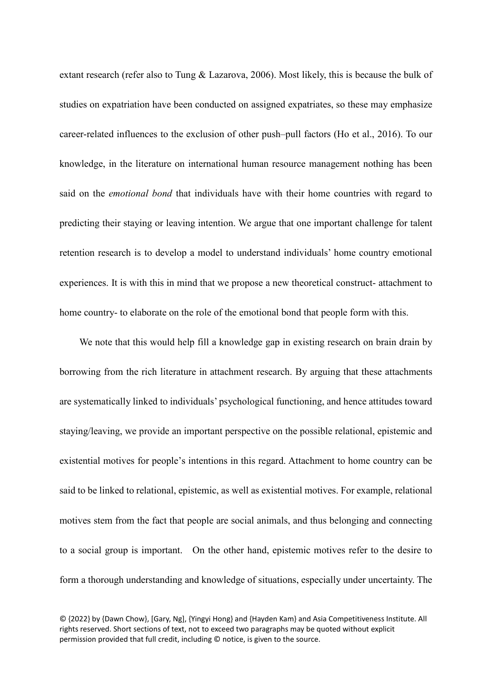extant research (refer also to Tung & Lazarova, 2006). Most likely, this is because the bulk of studies on expatriation have been conducted on assigned expatriates, so these may emphasize career-related influences to the exclusion of other push–pull factors (Ho et al., 2016). To our knowledge, in the literature on international human resource management nothing has been said on the *emotional bond* that individuals have with their home countries with regard to predicting their staying or leaving intention. We argue that one important challenge for talent retention research is to develop a model to understand individuals' home country emotional experiences. It is with this in mind that we propose a new theoretical construct- attachment to home country- to elaborate on the role of the emotional bond that people form with this.

We note that this would help fill a knowledge gap in existing research on brain drain by borrowing from the rich literature in attachment research. By arguing that these attachments are systematically linked to individuals' psychological functioning, and hence attitudes toward staying/leaving, we provide an important perspective on the possible relational, epistemic and existential motives for people's intentions in this regard. Attachment to home country can be said to be linked to relational, epistemic, as well as existential motives. For example, relational motives stem from the fact that people are social animals, and thus belonging and connecting to a social group is important. On the other hand, epistemic motives refer to the desire to form a thorough understanding and knowledge of situations, especially under uncertainty. The

<sup>© {2022}</sup> by {Dawn Chow}, [Gary, Ng], {Yingyi Hong} and {Hayden Kam} and Asia Competitiveness Institute. All rights reserved. Short sections of text, not to exceed two paragraphs may be quoted without explicit permission provided that full credit, including © notice, is given to the source.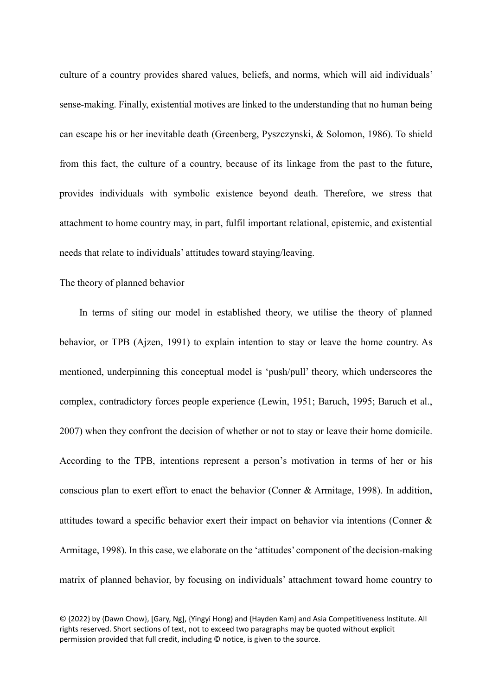culture of a country provides shared values, beliefs, and norms, which will aid individuals' sense-making. Finally, existential motives are linked to the understanding that no human being can escape his or her inevitable death (Greenberg, Pyszczynski, & Solomon, 1986). To shield from this fact, the culture of a country, because of its linkage from the past to the future, provides individuals with symbolic existence beyond death. Therefore, we stress that attachment to home country may, in part, fulfil important relational, epistemic, and existential needs that relate to individuals' attitudes toward staying/leaving.

## The theory of planned behavior

In terms of siting our model in established theory, we utilise the theory of planned behavior, or TPB (Ajzen, 1991) to explain intention to stay or leave the home country. As mentioned, underpinning this conceptual model is 'push/pull' theory, which underscores the complex, contradictory forces people experience (Lewin, 1951; Baruch, 1995; Baruch et al., 2007) when they confront the decision of whether or not to stay or leave their home domicile. According to the TPB, intentions represent a person's motivation in terms of her or his conscious plan to exert effort to enact the behavior (Conner & Armitage, 1998). In addition, attitudes toward a specific behavior exert their impact on behavior via intentions (Conner & Armitage, 1998). In this case, we elaborate on the 'attitudes' component of the decision-making matrix of planned behavior, by focusing on individuals' attachment toward home country to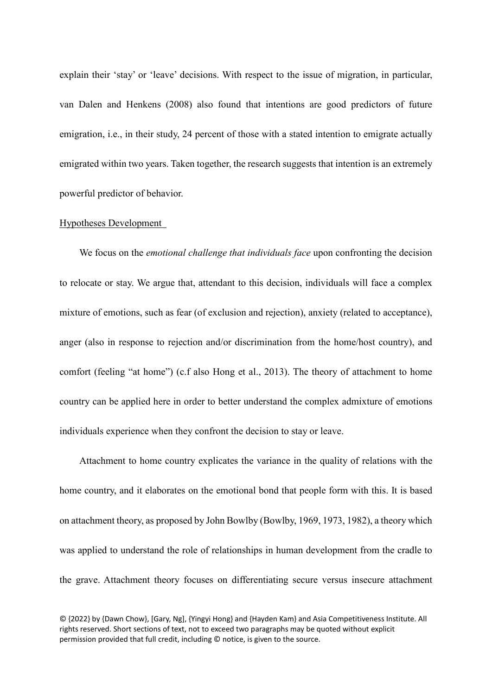explain their 'stay' or 'leave' decisions. With respect to the issue of migration, in particular, van Dalen and Henkens (2008) also found that intentions are good predictors of future emigration, *i.e.*, in their study, 24 percent of those with a stated intention to emigrate actually emigrated within two years. Taken together, the research suggests that intention is an extremely powerful predictor of behavior.

## Hypotheses Development

We focus on the *emotional challenge that individuals face* upon confronting the decision to relocate or stay. We argue that, attendant to this decision, individuals will face a complex mixture of emotions, such as fear (of exclusion and rejection), anxiety (related to acceptance), anger (also in response to rejection and/or discrimination from the home/host country), and comfort (feeling "at home") (c.f also Hong et al., 2013). The theory of attachment to home country can be applied here in order to better understand the complex admixture of emotions individuals experience when they confront the decision to stay or leave.

Attachment to home country explicates the variance in the quality of relations with the home country, and it elaborates on the emotional bond that people form with this. It is based on attachment theory, as proposed by John Bowlby (Bowlby, 1969, 1973, 1982), a theory which was applied to understand the role of relationships in human development from the cradle to the grave. Attachment theory focuses on differentiating secure versus insecure attachment

<sup>© {2022}</sup> by {Dawn Chow}, [Gary, Ng], {Yingyi Hong} and {Hayden Kam} and Asia Competitiveness Institute. All rights reserved. Short sections of text, not to exceed two paragraphs may be quoted without explicit permission provided that full credit, including © notice, is given to the source.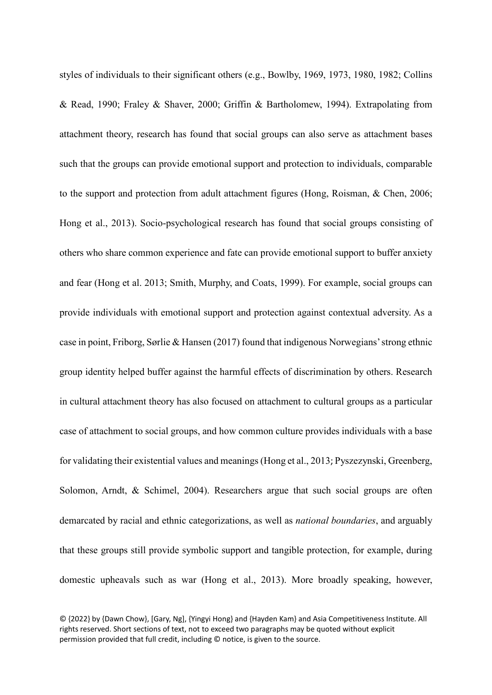styles of individuals to their significant others (e.g., Bowlby, 1969, 1973, 1980, 1982; Collins & Read, 1990; Fraley & Shaver, 2000; Griffin & Bartholomew, 1994). Extrapolating from attachment theory, research has found that social groups can also serve as attachment bases such that the groups can provide emotional support and protection to individuals, comparable to the support and protection from adult attachment figures (Hong, Roisman, & Chen, 2006; Hong et al., 2013). Socio-psychological research has found that social groups consisting of others who share common experience and fate can provide emotional support to buffer anxiety and fear (Hong et al. 2013; Smith, Murphy, and Coats, 1999). For example, social groups can provide individuals with emotional support and protection against contextual adversity. As a case in point, Friborg, Sørlie & Hansen (2017) found that indigenous Norwegians' strong ethnic group identity helped buffer against the harmful effects of discrimination by others. Research in cultural attachment theory has also focused on attachment to cultural groups as a particular case of attachment to social groups, and how common culture provides individuals with a base for validating their existential values and meanings (Hong et al., 2013; Pyszezynski, Greenberg, Solomon, Arndt, & Schimel, 2004). Researchers argue that such social groups are often demarcated by racial and ethnic categorizations, as well as *national boundaries*, and arguably that these groups still provide symbolic support and tangible protection, for example, during domestic upheavals such as war (Hong et al., 2013). More broadly speaking, however,

<sup>© {2022}</sup> by {Dawn Chow}, [Gary, Ng], {Yingyi Hong} and {Hayden Kam} and Asia Competitiveness Institute. All rights reserved. Short sections of text, not to exceed two paragraphs may be quoted without explicit permission provided that full credit, including © notice, is given to the source.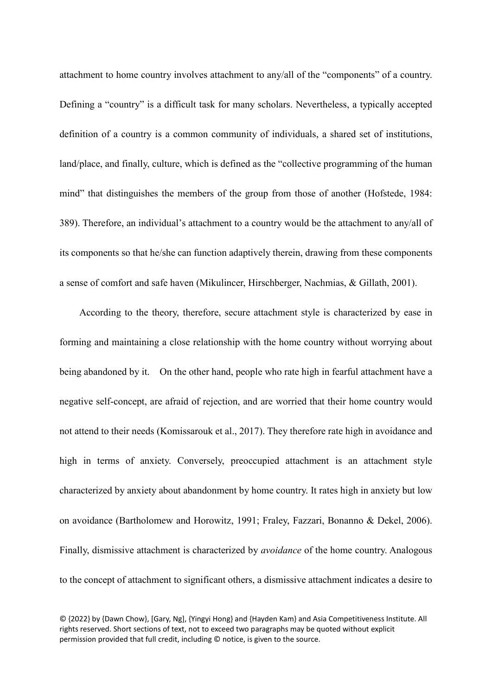attachment to home country involves attachment to any/all of the "components" of a country. Defining a "country" is a difficult task for many scholars. Nevertheless, a typically accepted definition of a country is a common community of individuals, a shared set of institutions, land/place, and finally, culture, which is defined as the "collective programming of the human mind" that distinguishes the members of the group from those of another (Hofstede, 1984: 389). Therefore, an individual's attachment to a country would be the attachment to any/all of its components so that he/she can function adaptively therein, drawing from these components a sense of comfort and safe haven (Mikulincer, Hirschberger, Nachmias, & Gillath, 2001).

According to the theory, therefore, secure attachment style is characterized by ease in forming and maintaining a close relationship with the home country without worrying about being abandoned by it. On the other hand, people who rate high in fearful attachment have a negative self-concept, are afraid of rejection, and are worried that their home country would not attend to their needs (Komissarouk et al., 2017). They therefore rate high in avoidance and high in terms of anxiety. Conversely, preoccupied attachment is an attachment style characterized by anxiety about abandonment by home country. It rates high in anxiety but low on avoidance (Bartholomew and Horowitz, 1991; Fraley, Fazzari, Bonanno & Dekel, 2006). Finally, dismissive attachment is characterized by *avoidance* of the home country. Analogous to the concept of attachment to significant others, a dismissive attachment indicates a desire to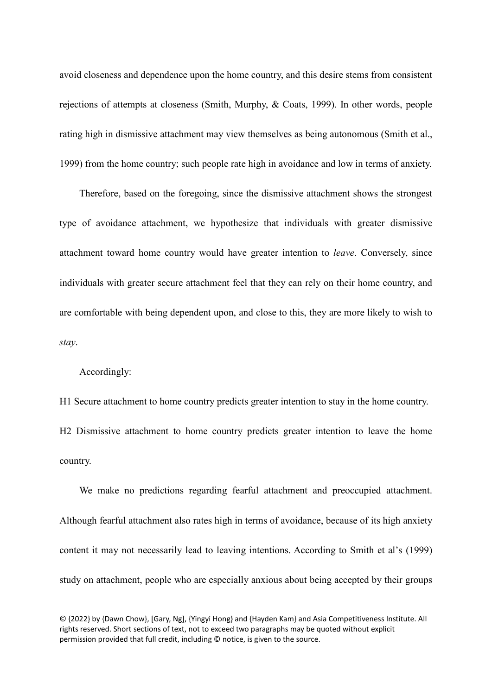avoid closeness and dependence upon the home country, and this desire stems from consistent rejections of attempts at closeness (Smith, Murphy, & Coats, 1999). In other words, people rating high in dismissive attachment may view themselves as being autonomous (Smith et al., 1999) from the home country; such people rate high in avoidance and low in terms of anxiety.

Therefore, based on the foregoing, since the dismissive attachment shows the strongest type of avoidance attachment, we hypothesize that individuals with greater dismissive attachment toward home country would have greater intention to *leave*. Conversely, since individuals with greater secure attachment feel that they can rely on their home country, and are comfortable with being dependent upon, and close to this, they are more likely to wish to *stay*.

Accordingly:

H1 Secure attachment to home country predicts greater intention to stay in the home country. H2 Dismissive attachment to home country predicts greater intention to leave the home

country.

We make no predictions regarding fearful attachment and preoccupied attachment. Although fearful attachment also rates high in terms of avoidance, because of its high anxiety content it may not necessarily lead to leaving intentions. According to Smith et al's (1999) study on attachment, people who are especially anxious about being accepted by their groups

<sup>© {2022}</sup> by {Dawn Chow}, [Gary, Ng], {Yingyi Hong} and {Hayden Kam} and Asia Competitiveness Institute. All rights reserved. Short sections of text, not to exceed two paragraphs may be quoted without explicit permission provided that full credit, including © notice, is given to the source.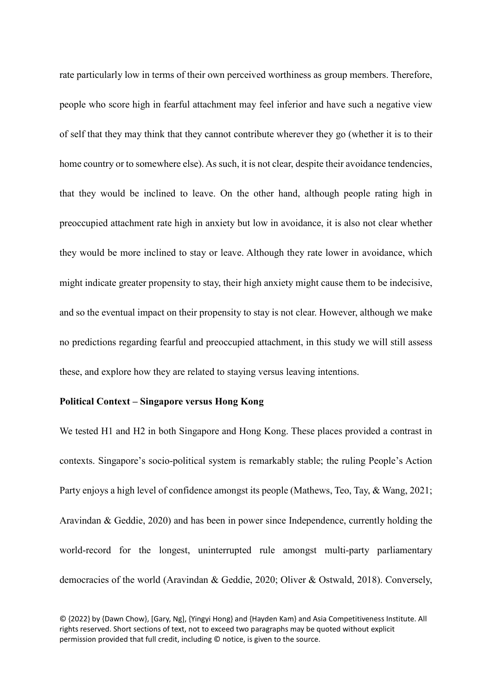rate particularly low in terms of their own perceived worthiness as group members. Therefore, people who score high in fearful attachment may feel inferior and have such a negative view of self that they may think that they cannot contribute wherever they go (whether it is to their home country or to somewhere else). As such, it is not clear, despite their avoidance tendencies, that they would be inclined to leave. On the other hand, although people rating high in preoccupied attachment rate high in anxiety but low in avoidance, it is also not clear whether they would be more inclined to stay or leave. Although they rate lower in avoidance, which might indicate greater propensity to stay, their high anxiety might cause them to be indecisive, and so the eventual impact on their propensity to stay is not clear. However, although we make no predictions regarding fearful and preoccupied attachment, in this study we will still assess these, and explore how they are related to staying versus leaving intentions.

# **Political Context – Singapore versus Hong Kong**

We tested H1 and H2 in both Singapore and Hong Kong. These places provided a contrast in contexts. Singapore's socio-political system is remarkably stable; the ruling People's Action Party enjoys a high level of confidence amongst its people (Mathews, Teo, Tay, & Wang, 2021; Aravindan & Geddie, 2020) and has been in power since Independence, currently holding the world-record for the longest, uninterrupted rule amongst multi-party parliamentary democracies of the world (Aravindan & Geddie, 2020; Oliver & Ostwald, 2018). Conversely,

<sup>© {2022}</sup> by {Dawn Chow}, [Gary, Ng], {Yingyi Hong} and {Hayden Kam} and Asia Competitiveness Institute. All rights reserved. Short sections of text, not to exceed two paragraphs may be quoted without explicit permission provided that full credit, including © notice, is given to the source.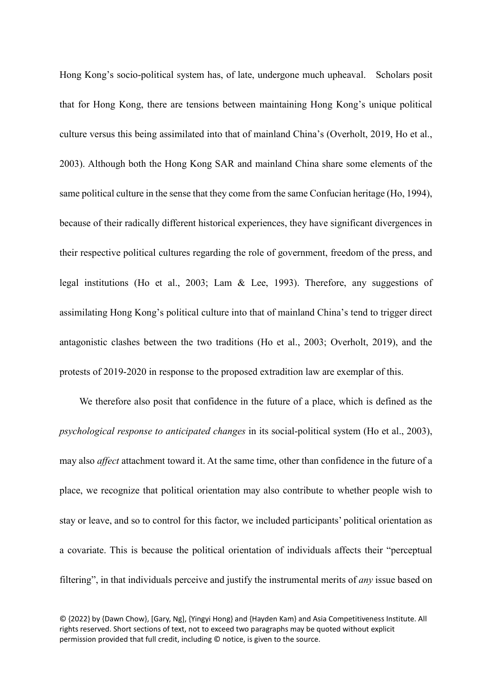Hong Kong's socio-political system has, of late, undergone much upheaval. Scholars posit that for Hong Kong, there are tensions between maintaining Hong Kong's unique political culture versus this being assimilated into that of mainland China's (Overholt, 2019, Ho et al., 2003). Although both the Hong Kong SAR and mainland China share some elements of the same political culture in the sense that they come from the same Confucian heritage (Ho, 1994), because of their radically different historical experiences, they have significant divergences in their respective political cultures regarding the role of government, freedom of the press, and legal institutions (Ho et al., 2003; Lam & Lee, 1993). Therefore, any suggestions of assimilating Hong Kong's political culture into that of mainland China's tend to trigger direct antagonistic clashes between the two traditions (Ho et al., 2003; Overholt, 2019), and the protests of 2019-2020 in response to the proposed extradition law are exemplar of this.

We therefore also posit that confidence in the future of a place, which is defined as the *psychological response to anticipated changes* in its social-political system (Ho et al., 2003), may also *affect* attachment toward it. At the same time, other than confidence in the future of a place, we recognize that political orientation may also contribute to whether people wish to stay or leave, and so to control for this factor, we included participants' political orientation as a covariate. This is because the political orientation of individuals affects their "perceptual filtering", in that individuals perceive and justify the instrumental merits of *any* issue based on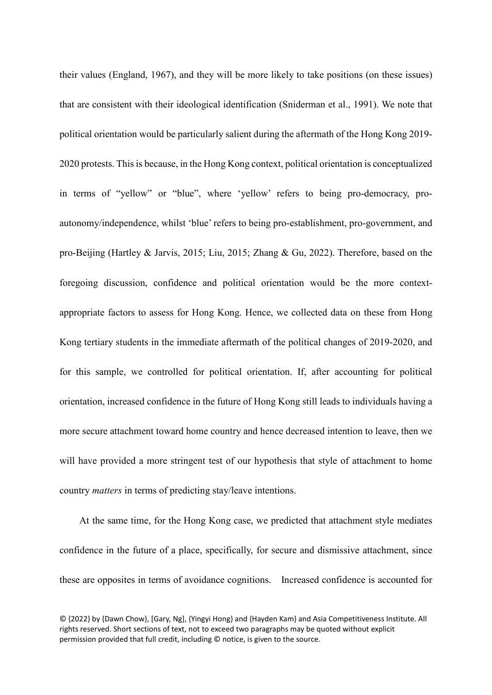their values (England, 1967), and they will be more likely to take positions (on these issues) that are consistent with their ideological identification (Sniderman et al., 1991). We note that political orientation would be particularly salient during the aftermath of the Hong Kong 2019- 2020 protests. This is because, in the Hong Kong context, political orientation is conceptualized in terms of "yellow" or "blue", where 'yellow' refers to being pro-democracy, proautonomy/independence, whilst 'blue' refers to being pro-establishment, pro-government, and pro-Beijing (Hartley & Jarvis, 2015; Liu, 2015; Zhang & Gu, 2022). Therefore, based on the foregoing discussion, confidence and political orientation would be the more contextappropriate factors to assess for Hong Kong. Hence, we collected data on these from Hong Kong tertiary students in the immediate aftermath of the political changes of 2019-2020, and for this sample, we controlled for political orientation. If, after accounting for political orientation, increased confidence in the future of Hong Kong still leads to individuals having a more secure attachment toward home country and hence decreased intention to leave, then we will have provided a more stringent test of our hypothesis that style of attachment to home country *matters* in terms of predicting stay/leave intentions.

At the same time, for the Hong Kong case, we predicted that attachment style mediates confidence in the future of a place, specifically, for secure and dismissive attachment, since these are opposites in terms of avoidance cognitions. Increased confidence is accounted for

<sup>© {2022}</sup> by {Dawn Chow}, [Gary, Ng], {Yingyi Hong} and {Hayden Kam} and Asia Competitiveness Institute. All rights reserved. Short sections of text, not to exceed two paragraphs may be quoted without explicit permission provided that full credit, including © notice, is given to the source.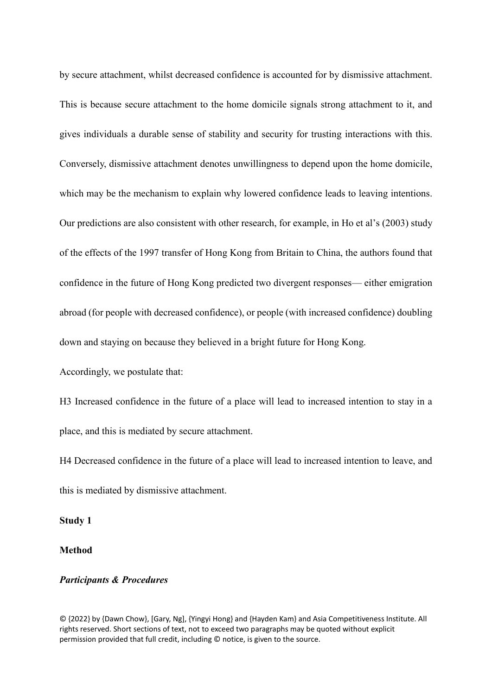by secure attachment, whilst decreased confidence is accounted for by dismissive attachment. This is because secure attachment to the home domicile signals strong attachment to it, and gives individuals a durable sense of stability and security for trusting interactions with this. Conversely, dismissive attachment denotes unwillingness to depend upon the home domicile, which may be the mechanism to explain why lowered confidence leads to leaving intentions. Our predictions are also consistent with other research, for example, in Ho et al's (2003) study of the effects of the 1997 transfer of Hong Kong from Britain to China, the authors found that confidence in the future of Hong Kong predicted two divergent responses— either emigration abroad (for people with decreased confidence), or people (with increased confidence) doubling down and staying on because they believed in a bright future for Hong Kong.

Accordingly, we postulate that:

H3 Increased confidence in the future of a place will lead to increased intention to stay in a place, and this is mediated by secure attachment.

H4 Decreased confidence in the future of a place will lead to increased intention to leave, and this is mediated by dismissive attachment.

**Study 1**

**Method**

# *Participants & Procedures*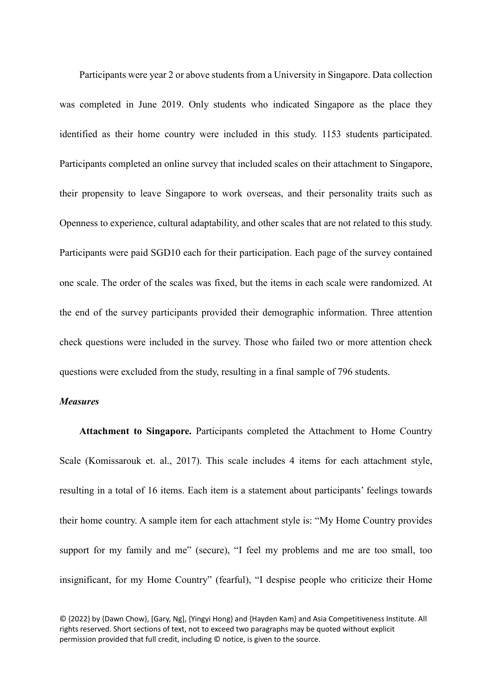Participants were year 2 or above students from a University in Singapore. Data collection was completed in June 2019. Only students who indicated Singapore as the place they identified as their home country were included in this study. 1153 students participated. Participants completed an online survey that included scales on their attachment to Singapore, their propensity to leave Singapore to work overseas, and their personality traits such as Openness to experience, cultural adaptability, and other scales that are not related to this study. Participants were paid SGD10 each for their participation. Each page of the survey contained one scale. The order of the scales was fixed, but the items in each scale were randomized. At the end of the survey participants provided their demographic information. Three attention check questions were included in the survey. Those who failed two or more attention check questions were excluded from the study, resulting in a final sample of 796 students.

# *Measures*

**Attachment to Singapore.** Participants completed the Attachment to Home Country Scale (Komissarouk et. al., 2017). This scale includes 4 items for each attachment style, resulting in a total of 16 items. Each item is a statement about participants' feelings towards their home country. A sample item for each attachment style is: "My Home Country provides support for my family and me" (secure), "I feel my problems and me are too small, too insignificant, for my Home Country" (fearful), "I despise people who criticize their Home

<sup>© {2022}</sup> by {Dawn Chow}, [Gary, Ng], {Yingyi Hong} and {Hayden Kam} and Asia Competitiveness Institute. All rights reserved. Short sections of text, not to exceed two paragraphs may be quoted without explicit permission provided that full credit, including © notice, is given to the source.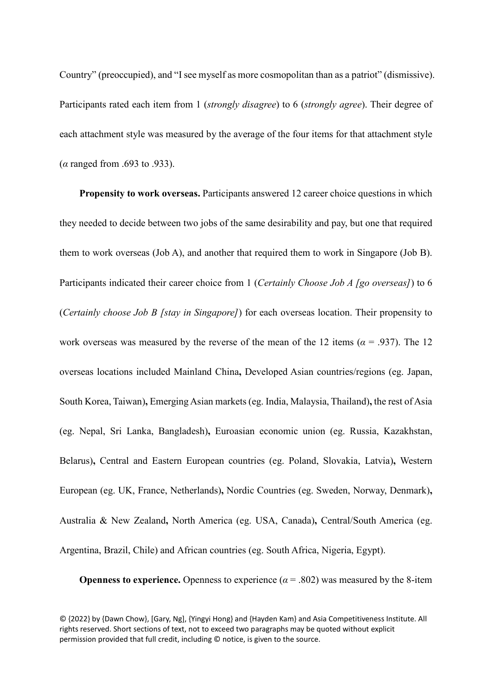Country" (preoccupied), and "I see myself as more cosmopolitan than as a patriot" (dismissive). Participants rated each item from 1 (*strongly disagree*) to 6 (*strongly agree*). Their degree of each attachment style was measured by the average of the four items for that attachment style (*α* ranged from .693 to .933).

**Propensity to work overseas.** Participants answered 12 career choice questions in which they needed to decide between two jobs of the same desirability and pay, but one that required them to work overseas (Job A), and another that required them to work in Singapore (Job B). Participants indicated their career choice from 1 (*Certainly Choose Job A [go overseas]*) to 6 (*Certainly choose Job B [stay in Singapore]*) for each overseas location. Their propensity to work overseas was measured by the reverse of the mean of the 12 items ( $\alpha$  = .937). The 12 overseas locations included Mainland China**,** Developed Asian countries/regions (eg. Japan, South Korea, Taiwan)**,** Emerging Asian markets (eg. India, Malaysia, Thailand)**,** the rest of Asia (eg. Nepal, Sri Lanka, Bangladesh)**,** Euroasian economic union (eg. Russia, Kazakhstan, Belarus)**,** Central and Eastern European countries (eg. Poland, Slovakia, Latvia)**,** Western European (eg. UK, France, Netherlands)**,** Nordic Countries (eg. Sweden, Norway, Denmark)**,**  Australia & New Zealand**,** North America (eg. USA, Canada)**,** Central/South America (eg. Argentina, Brazil, Chile) and African countries (eg. South Africa, Nigeria, Egypt).

**Openness to experience.** Openness to experience  $(a = .802)$  was measured by the 8-item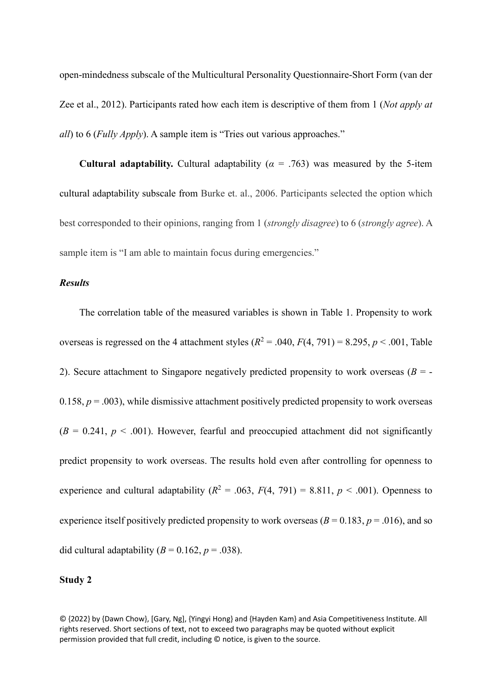open-mindedness subscale of the Multicultural Personality Questionnaire-Short Form (van der Zee et al., 2012). Participants rated how each item is descriptive of them from 1 (*Not apply at all*) to 6 (*Fully Apply*). A sample item is "Tries out various approaches."

**Cultural adaptability.** Cultural adaptability ( $\alpha$  = .763) was measured by the 5-item cultural adaptability subscale from Burke et. al., 2006. Participants selected the option which best corresponded to their opinions, ranging from 1 (*strongly disagree*) to 6 (*strongly agree*). A sample item is "I am able to maintain focus during emergencies."

# *Results*

The correlation table of the measured variables is shown in Table 1. Propensity to work overseas is regressed on the 4 attachment styles  $(R^2 = .040, F(4, 791) = 8.295, p < .001$ , Table 2). Secure attachment to Singapore negatively predicted propensity to work overseas  $(B = -1)$ 0.158,  $p = .003$ ), while dismissive attachment positively predicted propensity to work overseas  $(B = 0.241, p < .001)$ . However, fearful and preoccupied attachment did not significantly predict propensity to work overseas. The results hold even after controlling for openness to experience and cultural adaptability  $(R^2 = .063, F(4, 791) = 8.811, p < .001)$ . Openness to experience itself positively predicted propensity to work overseas ( $B = 0.183$ ,  $p = .016$ ), and so did cultural adaptability  $(B = 0.162, p = .038)$ .

# **Study 2**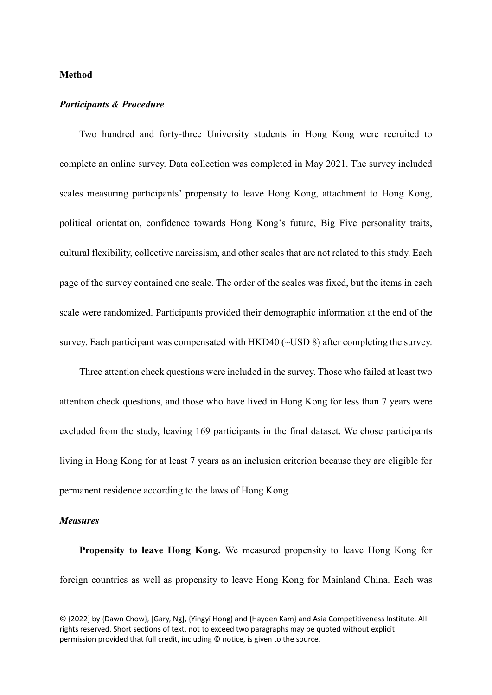## **Method**

#### *Participants & Procedure*

Two hundred and forty-three University students in Hong Kong were recruited to complete an online survey. Data collection was completed in May 2021. The survey included scales measuring participants' propensity to leave Hong Kong, attachment to Hong Kong, political orientation, confidence towards Hong Kong's future, Big Five personality traits, cultural flexibility, collective narcissism, and other scales that are not related to this study. Each page of the survey contained one scale. The order of the scales was fixed, but the items in each scale were randomized. Participants provided their demographic information at the end of the survey. Each participant was compensated with HKD40 (~USD 8) after completing the survey.

Three attention check questions were included in the survey. Those who failed at least two attention check questions, and those who have lived in Hong Kong for less than 7 years were excluded from the study, leaving 169 participants in the final dataset. We chose participants living in Hong Kong for at least 7 years as an inclusion criterion because they are eligible for permanent residence according to the laws of Hong Kong.

## *Measures*

**Propensity to leave Hong Kong.** We measured propensity to leave Hong Kong for foreign countries as well as propensity to leave Hong Kong for Mainland China. Each was

<sup>© {2022}</sup> by {Dawn Chow}, [Gary, Ng], {Yingyi Hong} and {Hayden Kam} and Asia Competitiveness Institute. All rights reserved. Short sections of text, not to exceed two paragraphs may be quoted without explicit permission provided that full credit, including © notice, is given to the source.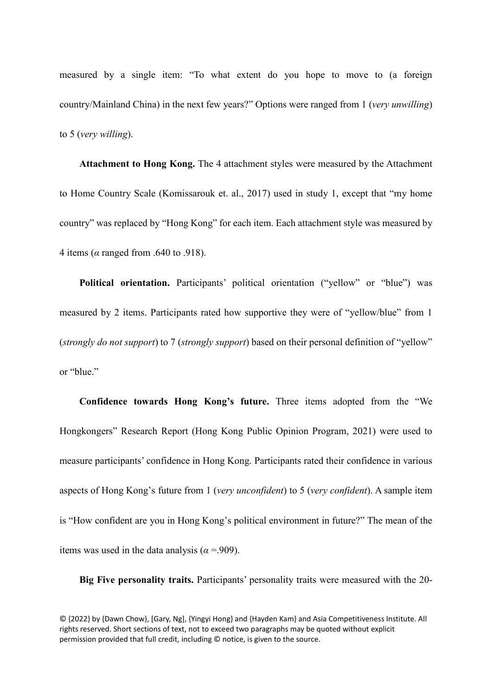measured by a single item: "To what extent do you hope to move to (a foreign country/Mainland China) in the next few years?" Options were ranged from 1 (*very unwilling*) to 5 (*very willing*).

**Attachment to Hong Kong.** The 4 attachment styles were measured by the Attachment to Home Country Scale (Komissarouk et. al., 2017) used in study 1, except that "my home country" was replaced by "Hong Kong" for each item. Each attachment style was measured by 4 items (*α* ranged from .640 to .918).

**Political orientation.** Participants' political orientation ("yellow" or "blue") was measured by 2 items. Participants rated how supportive they were of "yellow/blue" from 1 (*strongly do not support*) to 7 (*strongly support*) based on their personal definition of "yellow" or "blue."

**Confidence towards Hong Kong's future.** Three items adopted from the "We Hongkongers" Research Report (Hong Kong Public Opinion Program, 2021) were used to measure participants' confidence in Hong Kong. Participants rated their confidence in various aspects of Hong Kong's future from 1 (*very unconfident*) to 5 (*very confident*). A sample item is "How confident are you in Hong Kong's political environment in future?" The mean of the items was used in the data analysis ( $\alpha$  =.909).

**Big Five personality traits.** Participants' personality traits were measured with the 20-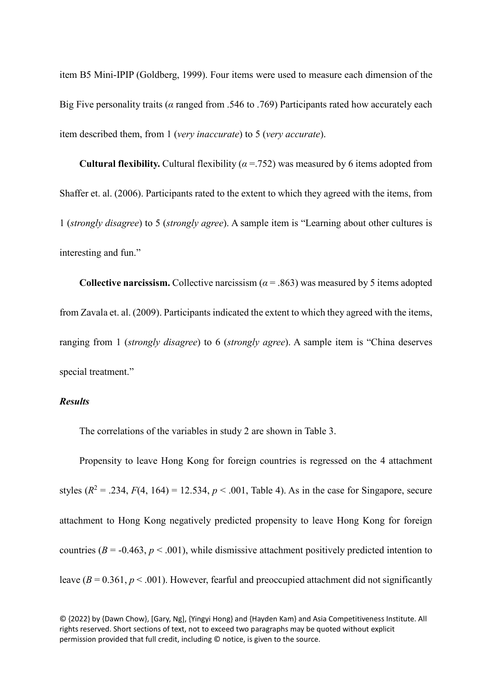item B5 Mini-IPIP (Goldberg, 1999). Four items were used to measure each dimension of the Big Five personality traits (*α* ranged from .546 to .769) Participants rated how accurately each item described them, from 1 (*very inaccurate*) to 5 (*very accurate*).

**Cultural flexibility.** Cultural flexibility ( $\alpha$  =.752) was measured by 6 items adopted from Shaffer et. al. (2006). Participants rated to the extent to which they agreed with the items, from 1 (*strongly disagree*) to 5 (*strongly agree*). A sample item is "Learning about other cultures is interesting and fun."

**Collective narcissism.** Collective narcissism  $(a = .863)$  was measured by 5 items adopted from Zavala et. al. (2009). Participants indicated the extent to which they agreed with the items, ranging from 1 (*strongly disagree*) to 6 (*strongly agree*). A sample item is "China deserves special treatment."

# *Results*

The correlations of the variables in study 2 are shown in Table 3.

Propensity to leave Hong Kong for foreign countries is regressed on the 4 attachment styles  $(R^2 = .234, F(4, 164) = 12.534, p < .001$ , Table 4). As in the case for Singapore, secure attachment to Hong Kong negatively predicted propensity to leave Hong Kong for foreign countries ( $B = -0.463$ ,  $p < .001$ ), while dismissive attachment positively predicted intention to leave  $(B = 0.361, p < .001)$ . However, fearful and preoccupied attachment did not significantly

<sup>© {2022}</sup> by {Dawn Chow}, [Gary, Ng], {Yingyi Hong} and {Hayden Kam} and Asia Competitiveness Institute. All rights reserved. Short sections of text, not to exceed two paragraphs may be quoted without explicit permission provided that full credit, including © notice, is given to the source.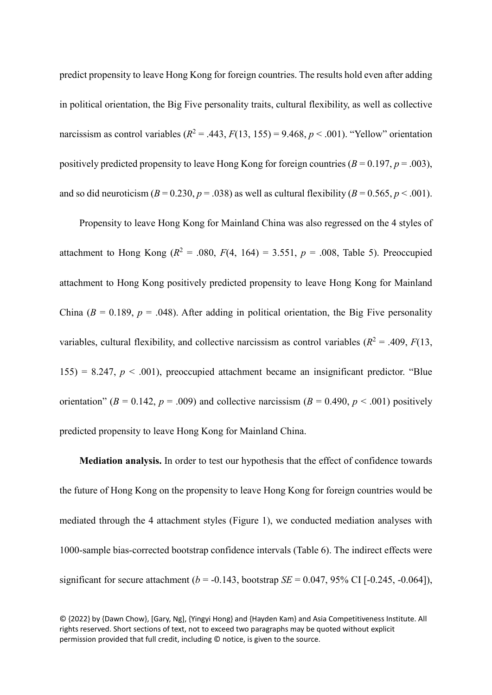predict propensity to leave Hong Kong for foreign countries. The results hold even after adding in political orientation, the Big Five personality traits, cultural flexibility, as well as collective narcissism as control variables ( $R^2 = .443$ ,  $F(13, 155) = 9.468$ ,  $p < .001$ ). "Yellow" orientation positively predicted propensity to leave Hong Kong for foreign countries  $(B = 0.197, p = .003)$ , and so did neuroticism  $(B = 0.230, p = .038)$  as well as cultural flexibility  $(B = 0.565, p < .001)$ .

Propensity to leave Hong Kong for Mainland China was also regressed on the 4 styles of attachment to Hong Kong  $(R^2 = .080, F(4, 164) = 3.551, p = .008,$  Table 5). Preoccupied attachment to Hong Kong positively predicted propensity to leave Hong Kong for Mainland China ( $B = 0.189$ ,  $p = .048$ ). After adding in political orientation, the Big Five personality variables, cultural flexibility, and collective narcissism as control variables  $(R^2 = .409, F(13,$ 155) = 8.247,  $p < .001$ ), preoccupied attachment became an insignificant predictor. "Blue orientation" ( $B = 0.142$ ,  $p = .009$ ) and collective narcissism ( $B = 0.490$ ,  $p < .001$ ) positively predicted propensity to leave Hong Kong for Mainland China.

**Mediation analysis.** In order to test our hypothesis that the effect of confidence towards the future of Hong Kong on the propensity to leave Hong Kong for foreign countries would be mediated through the 4 attachment styles (Figure 1), we conducted mediation analyses with 1000-sample bias-corrected bootstrap confidence intervals (Table 6). The indirect effects were significant for secure attachment ( $b = -0.143$ , bootstrap *SE* = 0.047, 95% CI [ $-0.245$ ,  $-0.064$ ]),

<sup>© {2022}</sup> by {Dawn Chow}, [Gary, Ng], {Yingyi Hong} and {Hayden Kam} and Asia Competitiveness Institute. All rights reserved. Short sections of text, not to exceed two paragraphs may be quoted without explicit permission provided that full credit, including © notice, is given to the source.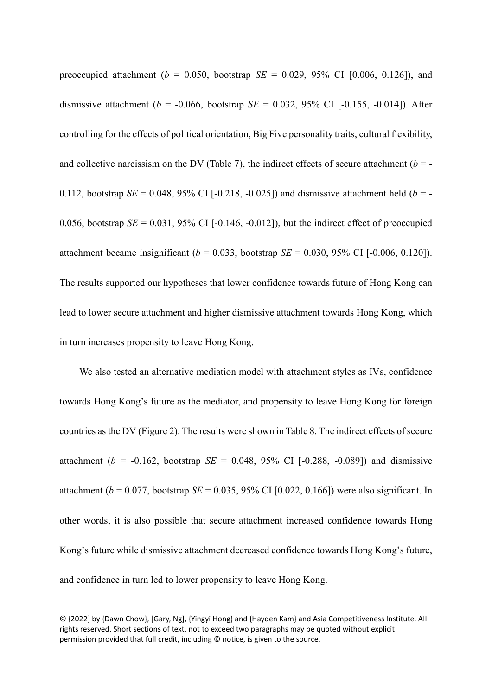preoccupied attachment ( $b = 0.050$ , bootstrap *SE* = 0.029, 95% CI [0.006, 0.126]), and dismissive attachment ( $b = -0.066$ , bootstrap *SE* = 0.032, 95% CI [-0.155, -0.014]). After controlling for the effects of political orientation, Big Five personality traits, cultural flexibility, and collective narcissism on the DV (Table 7), the indirect effects of secure attachment  $(b = -1)$ 0.112, bootstrap *SE* = 0.048, 95% CI [-0.218, -0.025]) and dismissive attachment held ( $b = -$ 0.056, bootstrap  $SE = 0.031$ , 95% CI [-0.146, -0.012]), but the indirect effect of preoccupied attachment became insignificant ( $b = 0.033$ , bootstrap *SE* = 0.030, 95% CI [-0.006, 0.120]). The results supported our hypotheses that lower confidence towards future of Hong Kong can lead to lower secure attachment and higher dismissive attachment towards Hong Kong, which in turn increases propensity to leave Hong Kong.

We also tested an alternative mediation model with attachment styles as IVs, confidence towards Hong Kong's future as the mediator, and propensity to leave Hong Kong for foreign countries as the DV (Figure 2). The results were shown in Table 8. The indirect effects of secure attachment ( $b = -0.162$ , bootstrap *SE* = 0.048, 95% CI [-0.288, -0.089]) and dismissive attachment ( $b = 0.077$ , bootstrap *SE* = 0.035, 95% CI [0.022, 0.166]) were also significant. In other words, it is also possible that secure attachment increased confidence towards Hong Kong's future while dismissive attachment decreased confidence towards Hong Kong's future, and confidence in turn led to lower propensity to leave Hong Kong.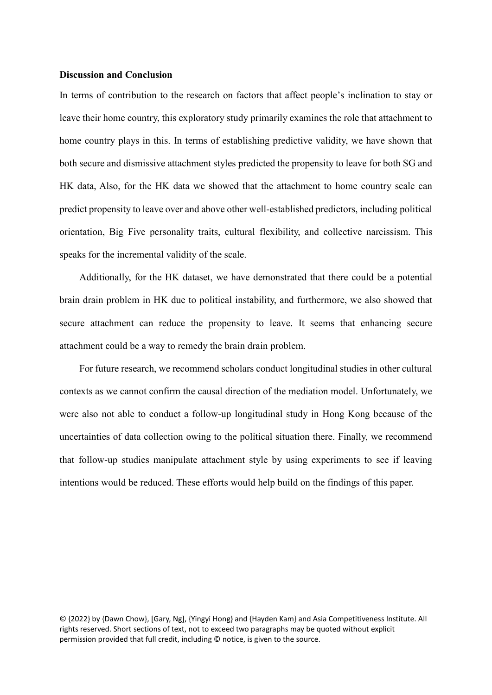## **Discussion and Conclusion**

In terms of contribution to the research on factors that affect people's inclination to stay or leave their home country, this exploratory study primarily examines the role that attachment to home country plays in this. In terms of establishing predictive validity, we have shown that both secure and dismissive attachment styles predicted the propensity to leave for both SG and HK data, Also, for the HK data we showed that the attachment to home country scale can predict propensity to leave over and above other well-established predictors, including political orientation, Big Five personality traits, cultural flexibility, and collective narcissism. This speaks for the incremental validity of the scale.

Additionally, for the HK dataset, we have demonstrated that there could be a potential brain drain problem in HK due to political instability, and furthermore, we also showed that secure attachment can reduce the propensity to leave. It seems that enhancing secure attachment could be a way to remedy the brain drain problem.

For future research, we recommend scholars conduct longitudinal studies in other cultural contexts as we cannot confirm the causal direction of the mediation model. Unfortunately, we were also not able to conduct a follow-up longitudinal study in Hong Kong because of the uncertainties of data collection owing to the political situation there. Finally, we recommend that follow-up studies manipulate attachment style by using experiments to see if leaving intentions would be reduced. These efforts would help build on the findings of this paper.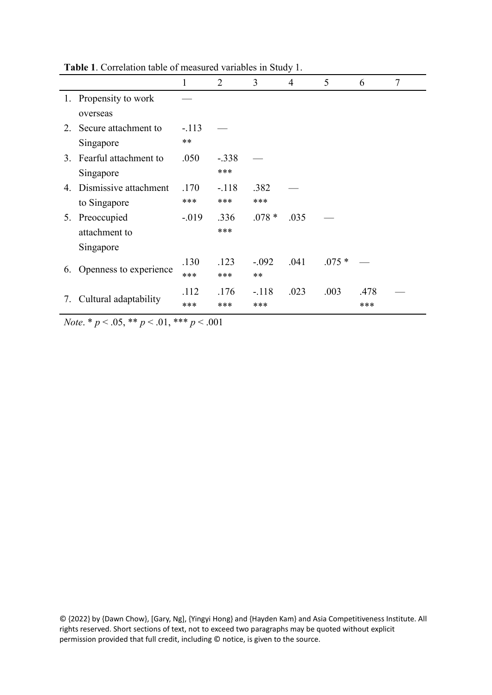|         |                        | 1        | 2       | 3        | $\overline{4}$ | 5       | 6    | 7 |
|---------|------------------------|----------|---------|----------|----------------|---------|------|---|
|         | 1. Propensity to work  |          |         |          |                |         |      |   |
|         | overseas               |          |         |          |                |         |      |   |
| $2_{-}$ | Secure attachment to   | $-.113$  |         |          |                |         |      |   |
|         | Singapore              | $**$     |         |          |                |         |      |   |
| 3.      | Fearful attachment to  | .050     | $-.338$ |          |                |         |      |   |
|         | Singapore              |          | ***     |          |                |         |      |   |
| 4.      | Dismissive attachment  | .170     | $-.118$ | .382     |                |         |      |   |
|         | to Singapore           | ***      | ***     | ***      |                |         |      |   |
| 5.      | Preoccupied            | $-0.019$ | .336    | $.078 *$ | .035           |         |      |   |
|         | attachment to          |          | ***     |          |                |         |      |   |
|         | Singapore              |          |         |          |                |         |      |   |
|         |                        | .130     | .123    | $-.092$  | .041           | $.075*$ |      |   |
| 6.      | Openness to experience | ***      | ***     | $**$     |                |         |      |   |
|         | Cultural adaptability  | .112     | .176    | $-.118$  | .023           | .003    | .478 |   |
| 7.      |                        | ***      | ***     | ***      |                |         | ***  |   |

**Table 1**. Correlation table of measured variables in Study 1.

*Note*. \* *p* < .05, \*\* *p* < .01, \*\*\* *p* < .001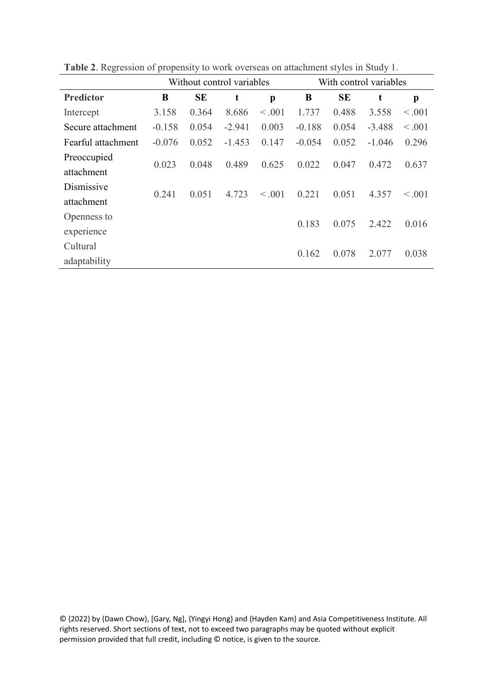|                    |          |           | Without control variables |         | With control variables |           |          |              |  |  |
|--------------------|----------|-----------|---------------------------|---------|------------------------|-----------|----------|--------------|--|--|
| <b>Predictor</b>   | B        | <b>SE</b> | t                         | p       | B                      | <b>SE</b> | t        | p            |  |  |
| Intercept          | 3.158    | 0.364     | 8.686                     | < 0.001 | 1.737                  | 0.488     | 3.558    | < 0.001      |  |  |
| Secure attachment  | $-0.158$ | 0.054     | $-2.941$                  | 0.003   | $-0.188$               | 0.054     | $-3.488$ | < 0.001      |  |  |
| Fearful attachment | $-0.076$ | 0.052     | $-1.453$                  | 0.147   | $-0.054$               | 0.052     | $-1.046$ | 0.296        |  |  |
| Preoccupied        | 0.023    | 0.048     | 0.489                     | 0.625   | 0.022                  | 0.047     | 0.472    | 0.637        |  |  |
| attachment         |          |           |                           |         |                        |           |          |              |  |  |
| Dismissive         | 0.241    | 0.051     | 4.723                     | < 0.001 | 0.221                  | 0.051     | 4.357    | $\leq 0.001$ |  |  |
| attachment         |          |           |                           |         |                        |           |          |              |  |  |
| Openness to        |          |           |                           |         | 0.183                  | 0.075     | 2.422    | 0.016        |  |  |
| experience         |          |           |                           |         |                        |           |          |              |  |  |
| Cultural           |          |           |                           |         | 0.162                  | 0.078     | 2.077    | 0.038        |  |  |
| adaptability       |          |           |                           |         |                        |           |          |              |  |  |

**Table 2**. Regression of propensity to work overseas on attachment styles in Study 1.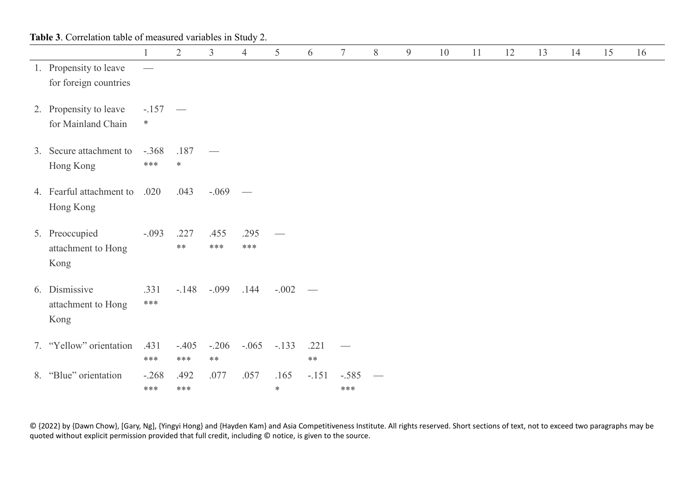|    | Table 3. Correlation table of measured variables in Study 2. |                     |                    |                  |                   |                |                          |                  |   |   |    |    |    |    |    |    |    |
|----|--------------------------------------------------------------|---------------------|--------------------|------------------|-------------------|----------------|--------------------------|------------------|---|---|----|----|----|----|----|----|----|
|    |                                                              |                     | $\overline{2}$     | $\mathfrak{Z}$   | $\overline{4}$    | 5              | 6                        | $\tau$           | 8 | 9 | 10 | 11 | 12 | 13 | 14 | 15 | 16 |
|    | 1. Propensity to leave<br>for foreign countries              |                     |                    |                  |                   |                |                          |                  |   |   |    |    |    |    |    |    |    |
|    | 2. Propensity to leave<br>for Mainland Chain                 | $-.157$ —<br>$\ast$ |                    |                  |                   |                |                          |                  |   |   |    |    |    |    |    |    |    |
|    | 3. Secure attachment to<br>Hong Kong                         | $-.368$<br>$***$    | .187<br>$\ast$     |                  |                   |                |                          |                  |   |   |    |    |    |    |    |    |    |
|    | 4. Fearful attachment to<br>Hong Kong                        | .020                | .043               | $-.069$          | $\hspace{0.05cm}$ |                |                          |                  |   |   |    |    |    |    |    |    |    |
|    | 5. Preoccupied<br>attachment to Hong<br>Kong                 | $-.093$             | .227<br>$\ast\ast$ | .455<br>$***$    | .295<br>$***$     |                |                          |                  |   |   |    |    |    |    |    |    |    |
|    | 6. Dismissive<br>attachment to Hong<br>Kong                  | .331<br>$***$       | $-.148$            | $-.099$          | .144              | $-.002$        | $\overline{\phantom{a}}$ |                  |   |   |    |    |    |    |    |    |    |
|    | 7. "Yellow" orientation                                      | .431<br>$***$       | $-.405$<br>$***$   | $-.206$<br>$***$ | $-.065$           | $-.133$        | .221<br>$**$             |                  |   |   |    |    |    |    |    |    |    |
| 8. | "Blue" orientation                                           | $-.268$<br>$***$    | .492<br>$***$      | .077             | .057              | .165<br>$\ast$ | $-.151$                  | $-.585$<br>$***$ |   |   |    |    |    |    |    |    |    |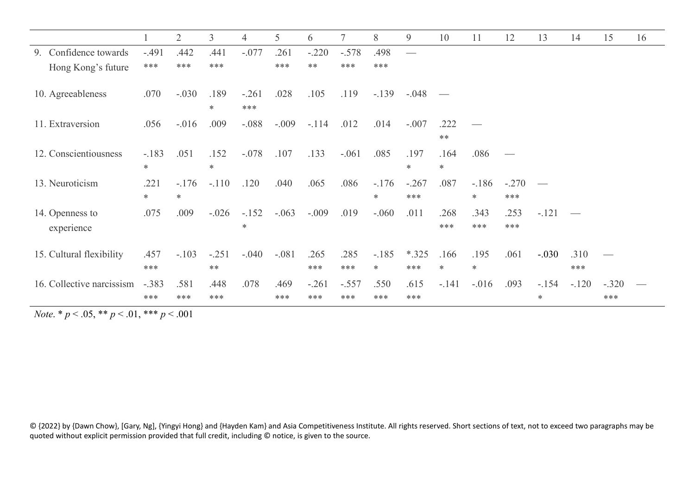|                                                             |                | $\overline{2}$    | $\overline{3}$  | $\overline{4}$    | 5       | 6           |             | 8                 | 9              | 10             | 11             | 12             | 13      | 14          | 15      | 16 |
|-------------------------------------------------------------|----------------|-------------------|-----------------|-------------------|---------|-------------|-------------|-------------------|----------------|----------------|----------------|----------------|---------|-------------|---------|----|
| 9. Confidence towards                                       | $-.491$        | .442              | .441            | $-.077$           | .261    | $-.220$     | $-.578$     | .498              |                |                |                |                |         |             |         |    |
| Hong Kong's future                                          | ***            | ***               | ***             |                   | ***     | $**$        | ***         | ***               |                |                |                |                |         |             |         |    |
| 10. Agreeableness                                           | .070           | $-.030$           | .189<br>$\ast$  | $-.261$<br>***    | .028    | .105        | .119        | $-.139$           | $-.048$        |                |                |                |         |             |         |    |
| 11. Extraversion                                            | .056           | $-.016$           | .009            | $-.088$           | $-.009$ | $-.114$     | .012        | .014              | $-.007$        | .222<br>$**$   |                |                |         |             |         |    |
| 12. Conscientiousness                                       | $-.183$<br>$*$ | .051              | .152<br>$\ast$  | $-.078$           | .107    | .133        | $-.061$     | .085              | .197<br>$\ast$ | .164<br>$\ast$ | .086           |                |         |             |         |    |
| 13. Neuroticism                                             | .221<br>$\ast$ | $-.176$<br>$\ast$ | $-.110$         | .120              | .040    | .065        | .086        | $-.176$<br>$*$    | $-.267$<br>*** | .087           | $-186$<br>∗    | $-.270$<br>*** |         |             |         |    |
| 14. Openness to<br>experience                               | .075           | .009              | $-.026$         | $-.152$<br>$\ast$ | $-.063$ | $-.009$     | .019        | $-.060$           | .011           | .268<br>***    | .343<br>***    | .253<br>***    | $-.121$ |             |         |    |
| 15. Cultural flexibility                                    | .457<br>***    | $-.103$           | $-.251$<br>$**$ | $-.040$           | $-.081$ | .265<br>*** | .285<br>*** | $-.185$<br>$\ast$ | $*325$<br>***  | .166<br>$\ast$ | .195<br>$\ast$ | .061           | $-.030$ | .310<br>*** |         |    |
| 16. Collective narcissism -.383                             |                | .581              | .448            | .078              | .469    | $-.261$     | $-.557$     | .550              | .615           | $-.141$        | $-.016$        | .093           | $-.154$ | $-.120$     | $-.320$ |    |
|                                                             | ***            | ***               | ***             |                   | ***     | ***         | ***         | ***               | ***            |                |                |                | $\ast$  |             | ***     |    |
| <i>Note.</i> * $p < .05$ , * * $p < .01$ , * * * $p < .001$ |                |                   |                 |                   |         |             |             |                   |                |                |                |                |         |             |         |    |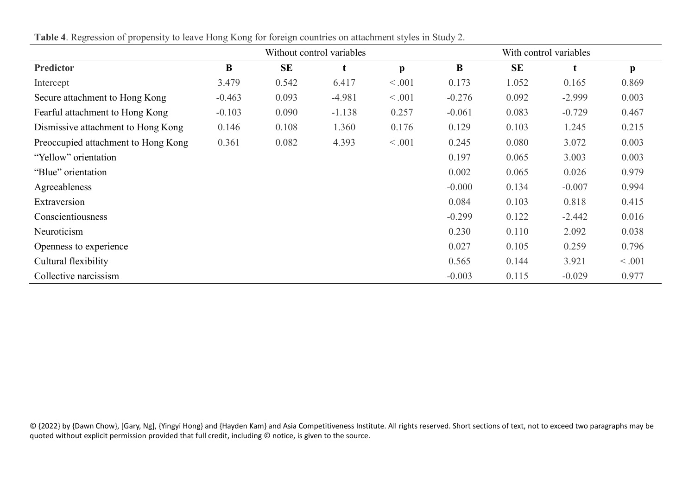|                                     |          |           | Without control variables | With control variables |          |           |          |              |
|-------------------------------------|----------|-----------|---------------------------|------------------------|----------|-----------|----------|--------------|
| <b>Predictor</b>                    | $\bf{B}$ | <b>SE</b> |                           | $\mathbf{p}$           | B        | <b>SE</b> | t        | $\mathbf{p}$ |
| Intercept                           | 3.479    | 0.542     | 6.417                     | < .001                 | 0.173    | 1.052     | 0.165    | 0.869        |
| Secure attachment to Hong Kong      | $-0.463$ | 0.093     | $-4.981$                  | < .001                 | $-0.276$ | 0.092     | $-2.999$ | 0.003        |
| Fearful attachment to Hong Kong     | $-0.103$ | 0.090     | $-1.138$                  | 0.257                  | $-0.061$ | 0.083     | $-0.729$ | 0.467        |
| Dismissive attachment to Hong Kong  | 0.146    | 0.108     | 1.360                     | 0.176                  | 0.129    | 0.103     | 1.245    | 0.215        |
| Preoccupied attachment to Hong Kong | 0.361    | 0.082     | 4.393                     | < .001                 | 0.245    | 0.080     | 3.072    | 0.003        |
| "Yellow" orientation                |          |           |                           |                        | 0.197    | 0.065     | 3.003    | 0.003        |
| "Blue" orientation                  |          |           |                           |                        | 0.002    | 0.065     | 0.026    | 0.979        |
| Agreeableness                       |          |           |                           |                        | $-0.000$ | 0.134     | $-0.007$ | 0.994        |
| Extraversion                        |          |           |                           |                        | 0.084    | 0.103     | 0.818    | 0.415        |
| Conscientiousness                   |          |           |                           |                        | $-0.299$ | 0.122     | $-2.442$ | 0.016        |
| Neuroticism                         |          |           |                           |                        | 0.230    | 0.110     | 2.092    | 0.038        |
| Openness to experience              |          |           |                           |                        | 0.027    | 0.105     | 0.259    | 0.796        |
| Cultural flexibility                |          |           |                           |                        | 0.565    | 0.144     | 3.921    | < .001       |
| Collective narcissism               |          |           |                           |                        | $-0.003$ | 0.115     | $-0.029$ | 0.977        |

**Table 4**. Regression of propensity to leave Hong Kong for foreign countries on attachment styles in Study 2.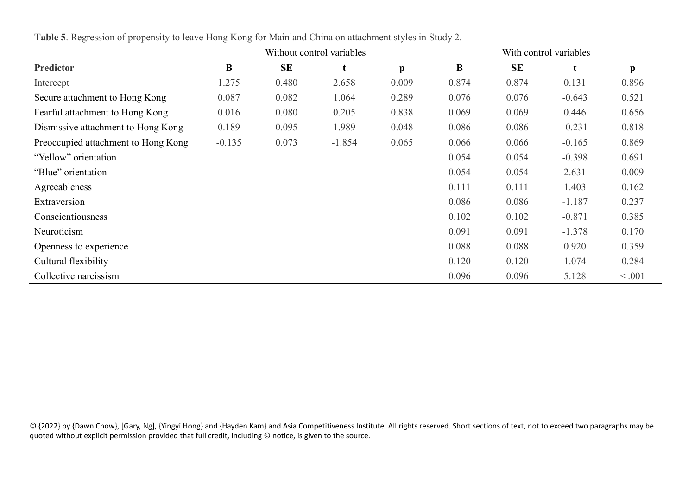|                                     |          |           | Without control variables |              | With control variables |           |          |              |  |
|-------------------------------------|----------|-----------|---------------------------|--------------|------------------------|-----------|----------|--------------|--|
| <b>Predictor</b>                    | B        | <b>SE</b> |                           | $\mathbf{p}$ | B                      | <b>SE</b> | t        | $\mathbf{p}$ |  |
| Intercept                           | 1.275    | 0.480     | 2.658                     | 0.009        | 0.874                  | 0.874     | 0.131    | 0.896        |  |
| Secure attachment to Hong Kong      | 0.087    | 0.082     | 1.064                     | 0.289        | 0.076                  | 0.076     | $-0.643$ | 0.521        |  |
| Fearful attachment to Hong Kong     | 0.016    | 0.080     | 0.205                     | 0.838        | 0.069                  | 0.069     | 0.446    | 0.656        |  |
| Dismissive attachment to Hong Kong  | 0.189    | 0.095     | 1.989                     | 0.048        | 0.086                  | 0.086     | $-0.231$ | 0.818        |  |
| Preoccupied attachment to Hong Kong | $-0.135$ | 0.073     | $-1.854$                  | 0.065        | 0.066                  | 0.066     | $-0.165$ | 0.869        |  |
| "Yellow" orientation                |          |           |                           |              | 0.054                  | 0.054     | $-0.398$ | 0.691        |  |
| "Blue" orientation                  |          |           |                           |              | 0.054                  | 0.054     | 2.631    | 0.009        |  |
| Agreeableness                       |          |           |                           |              | 0.111                  | 0.111     | 1.403    | 0.162        |  |
| Extraversion                        |          |           |                           |              | 0.086                  | 0.086     | $-1.187$ | 0.237        |  |
| Conscientiousness                   |          |           |                           |              | 0.102                  | 0.102     | $-0.871$ | 0.385        |  |
| Neuroticism                         |          |           |                           |              | 0.091                  | 0.091     | $-1.378$ | 0.170        |  |
| Openness to experience              |          |           |                           |              | 0.088                  | 0.088     | 0.920    | 0.359        |  |
| Cultural flexibility                |          |           |                           |              | 0.120                  | 0.120     | 1.074    | 0.284        |  |
| Collective narcissism               |          |           |                           |              | 0.096                  | 0.096     | 5.128    | < .001       |  |

**Table 5**. Regression of propensity to leave Hong Kong for Mainland China on attachment styles in Study 2.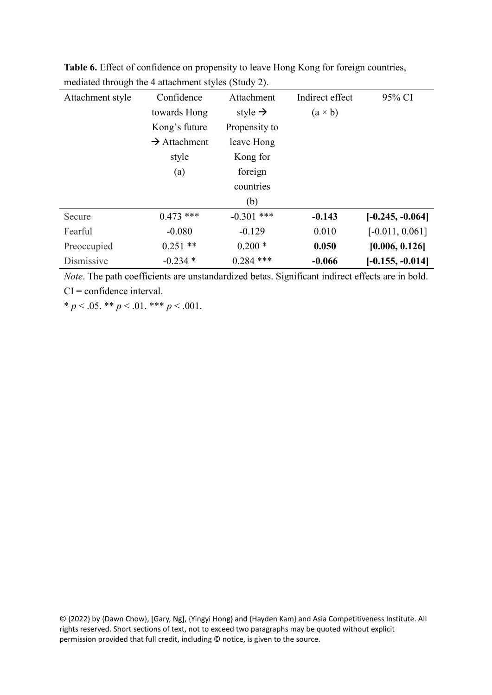| Attachment style | Confidence               | Attachment          | Indirect effect | 95% CI             |
|------------------|--------------------------|---------------------|-----------------|--------------------|
|                  | towards Hong             | style $\rightarrow$ | $(a \times b)$  |                    |
|                  | Kong's future            | Propensity to       |                 |                    |
|                  | $\rightarrow$ Attachment | leave Hong          |                 |                    |
|                  | style                    | Kong for            |                 |                    |
|                  | (a)                      | foreign             |                 |                    |
|                  |                          | countries           |                 |                    |
|                  |                          | (b)                 |                 |                    |
| Secure           | $0.473$ ***              | $-0.301$ ***        | $-0.143$        | $[-0.245, -0.064]$ |
| Fearful          | $-0.080$                 | $-0.129$            | 0.010           | $[-0.011, 0.061]$  |
| Preoccupied      | $0.251$ **               | $0.200*$            | 0.050           | [0.006, 0.126]     |
| Dismissive       | $-0.234*$                | $0.284$ ***         | $-0.066$        | $[-0.155, -0.014]$ |

**Table 6.** Effect of confidence on propensity to leave Hong Kong for foreign countries, mediated through the 4 attachment styles (Study 2).

*Note*. The path coefficients are unstandardized betas. Significant indirect effects are in bold. CI = confidence interval.

 $* p < .05. ** p < .01.*** p < .001.$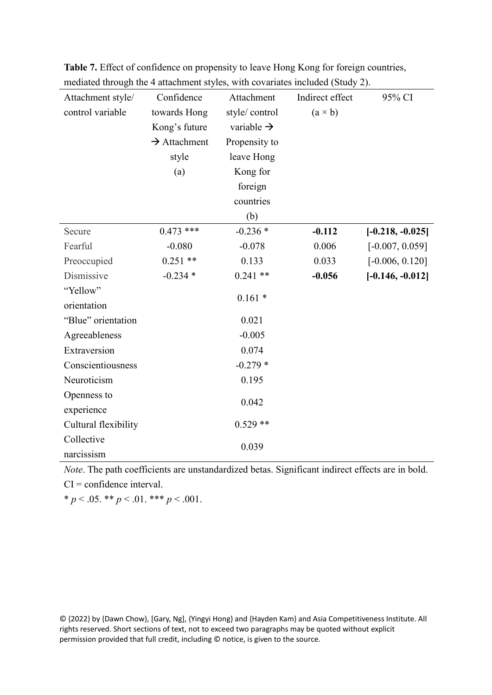| Attachment style/    | Confidence               | Attachment             | Indirect effect | 95% CI             |
|----------------------|--------------------------|------------------------|-----------------|--------------------|
| control variable     | towards Hong             | style/control          | $(a \times b)$  |                    |
|                      | Kong's future            | variable $\rightarrow$ |                 |                    |
|                      | $\rightarrow$ Attachment | Propensity to          |                 |                    |
|                      | style                    | leave Hong             |                 |                    |
|                      | (a)                      | Kong for               |                 |                    |
|                      |                          | foreign                |                 |                    |
|                      |                          | countries              |                 |                    |
|                      |                          | (b)                    |                 |                    |
| Secure               | $0.473$ ***              | $-0.236*$              | $-0.112$        | $[-0.218, -0.025]$ |
| Fearful              | $-0.080$                 | $-0.078$               | 0.006           | $[-0.007, 0.059]$  |
| Preoccupied          | $0.251$ **               | 0.133                  | 0.033           | $[-0.006, 0.120]$  |
| Dismissive           | $-0.234*$                | $0.241**$              | $-0.056$        | $[-0.146, -0.012]$ |
| "Yellow"             |                          |                        |                 |                    |
| orientation          |                          | $0.161*$               |                 |                    |
| "Blue" orientation   |                          | 0.021                  |                 |                    |
| Agreeableness        |                          | $-0.005$               |                 |                    |
| Extraversion         |                          | 0.074                  |                 |                    |
| Conscientiousness    |                          | $-0.279*$              |                 |                    |
| Neuroticism          |                          | 0.195                  |                 |                    |
| Openness to          |                          |                        |                 |                    |
| experience           |                          | 0.042                  |                 |                    |
| Cultural flexibility |                          | $0.529**$              |                 |                    |
| Collective           |                          | 0.039                  |                 |                    |
| narcissism           |                          |                        |                 |                    |

**Table 7.** Effect of confidence on propensity to leave Hong Kong for foreign countries, mediated through the 4 attachment styles, with covariates included (Study 2).

*Note*. The path coefficients are unstandardized betas. Significant indirect effects are in bold.

 $CI =$  confidence interval.

 $* p < .05. ** p < .01.*** p < .001.$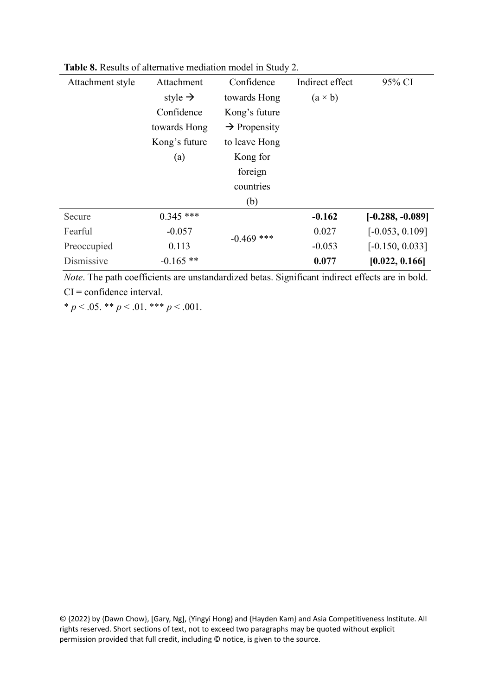| Attachment style | Attachment          | Confidence               | Indirect effect | 95% CI             |
|------------------|---------------------|--------------------------|-----------------|--------------------|
|                  | style $\rightarrow$ | towards Hong             | $(a \times b)$  |                    |
|                  | Confidence          | Kong's future            |                 |                    |
|                  | towards Hong        | $\rightarrow$ Propensity |                 |                    |
|                  | Kong's future       | to leave Hong            |                 |                    |
|                  | (a)                 | Kong for                 |                 |                    |
|                  |                     | foreign                  |                 |                    |
|                  |                     | countries                |                 |                    |
|                  |                     | (b)                      |                 |                    |
| Secure           | $0.345$ ***         |                          | $-0.162$        | $[-0.288, -0.089]$ |
| Fearful          | $-0.057$            | $-0.469$ ***             | 0.027           | $[-0.053, 0.109]$  |
| Preoccupied      | 0.113               |                          | $-0.053$        | $[-0.150, 0.033]$  |
| Dismissive       | $-0.165$ **         |                          | 0.077           | [0.022, 0.166]     |
|                  |                     |                          |                 |                    |

**Table 8.** Results of alternative mediation model in Study 2.

*Note*. The path coefficients are unstandardized betas. Significant indirect effects are in bold. CI = confidence interval.

\*  $p < .05$ . \*\*  $p < .01$ . \*\*\*  $p < .001$ .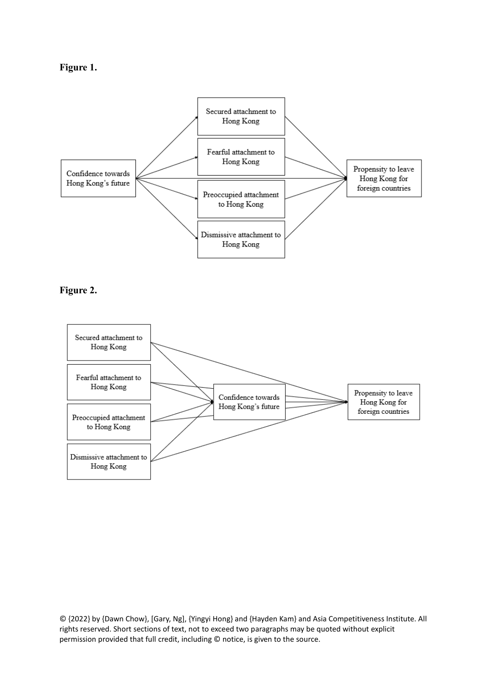



# **Figure 2.**

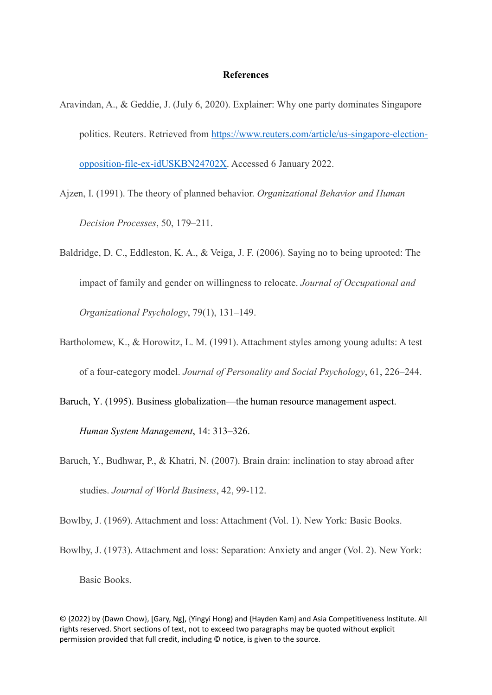#### **References**

- Aravindan, A., & Geddie, J. (July 6, 2020). Explainer: Why one party dominates Singapore politics. Reuters. Retrieved from [https://www.reuters.com/article/us-singapore-election](https://www.reuters.com/article/us-singapore-election-opposition-file-ex-idUSKBN24702X)[opposition-file-ex-idUSKBN24702X.](https://www.reuters.com/article/us-singapore-election-opposition-file-ex-idUSKBN24702X) Accessed 6 January 2022.
- Ajzen, I. (1991). The theory of planned behavior. *Organizational Behavior and Human Decision Processes*, 50, 179–211.
- Baldridge, D. C., Eddleston, K. A., & Veiga, J. F. (2006). Saying no to being uprooted: The impact of family and gender on willingness to relocate. *Journal of Occupational and Organizational Psychology*, 79(1), 131–149.
- Bartholomew, K., & Horowitz, L. M. (1991). Attachment styles among young adults: A test of a four-category model. *Journal of Personality and Social Psychology*, 61, 226–244.
- Baruch, Y. (1995). Business globalization—the human resource management aspect.

*Human System Management*, 14: 313–326.

Baruch, Y., Budhwar, P., & Khatri, N. (2007). Brain drain: inclination to stay abroad after studies. *Journal of World Business*, 42, 99-112.

Bowlby, J. (1969). Attachment and loss: Attachment (Vol. 1). New York: Basic Books.

Bowlby, J. (1973). Attachment and loss: Separation: Anxiety and anger (Vol. 2). New York: Basic Books.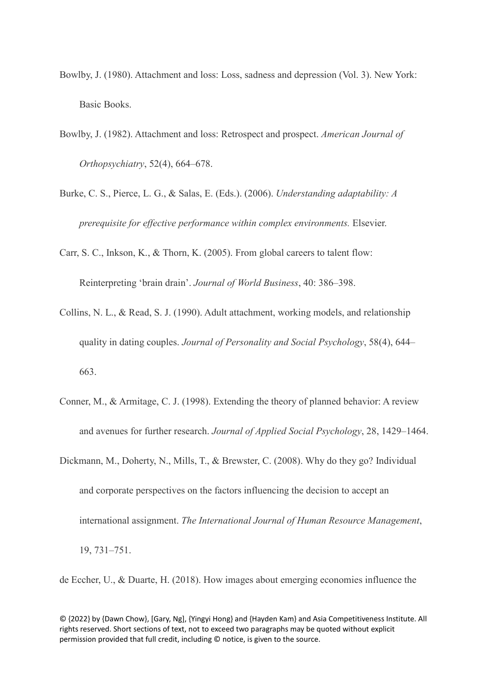- Bowlby, J. (1980). Attachment and loss: Loss, sadness and depression (Vol. 3). New York: Basic Books.
- Bowlby, J. (1982). Attachment and loss: Retrospect and prospect. *American Journal of Orthopsychiatry*, 52(4), 664–678.
- Burke, C. S., Pierce, L. G., & Salas, E. (Eds.). (2006). *Understanding adaptability: A prerequisite for effective performance within complex environments.* Elsevier.

Carr, S. C., Inkson, K., & Thorn, K. (2005). From global careers to talent flow:

Reinterpreting 'brain drain'. *Journal of World Business*, 40: 386–398.

- Collins, N. L., & Read, S. J. (1990). Adult attachment, working models, and relationship quality in dating couples. *Journal of Personality and Social Psychology*, 58(4), 644– 663.
- Conner, M., & Armitage, C. J. (1998). Extending the theory of planned behavior: A review and avenues for further research. *Journal of Applied Social Psychology*, 28, 1429–1464.
- Dickmann, M., Doherty, N., Mills, T., & Brewster, C. (2008). Why do they go? Individual and corporate perspectives on the factors influencing the decision to accept an international assignment. *The International Journal of Human Resource Management*, 19, 731–751.

de Eccher, U., & Duarte, H. (2018). How images about emerging economies influence the

<sup>© {2022}</sup> by {Dawn Chow}, [Gary, Ng], {Yingyi Hong} and {Hayden Kam} and Asia Competitiveness Institute. All rights reserved. Short sections of text, not to exceed two paragraphs may be quoted without explicit permission provided that full credit, including © notice, is given to the source.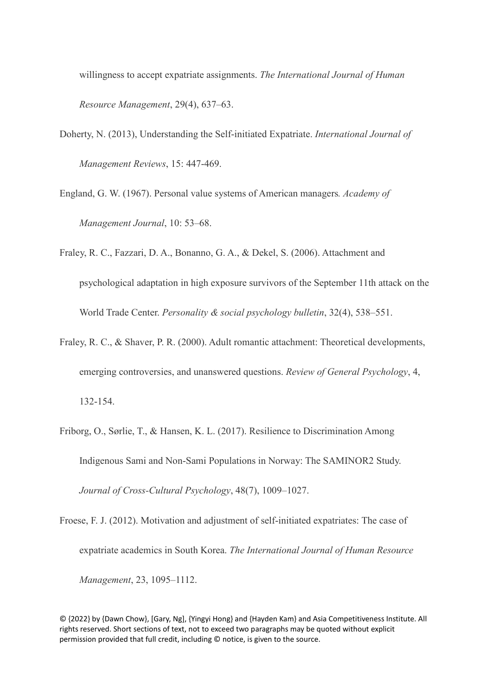willingness to accept expatriate assignments. *The International Journal of Human Resource Management*, 29(4), 637–63.

- Doherty, N. (2013), Understanding the Self-initiated Expatriate. *International Journal of Management Reviews*, 15: 447-469.
- England, G. W. (1967). Personal value systems of American managers*. Academy of Management Journal*, 10: 53–68.
- Fraley, R. C., Fazzari, D. A., Bonanno, G. A., & Dekel, S. (2006). Attachment and psychological adaptation in high exposure survivors of the September 11th attack on the World Trade Center. *Personality & social psychology bulletin*, 32(4), 538–551.
- Fraley, R. C., & Shaver, P. R. (2000). Adult romantic attachment: Theoretical developments, emerging controversies, and unanswered questions. *Review of General Psychology*, 4, 132-154.
- Friborg, O., Sørlie, T., & Hansen, K. L. (2017). Resilience to Discrimination Among Indigenous Sami and Non-Sami Populations in Norway: The SAMINOR2 Study. *Journal of Cross-Cultural Psychology*, 48(7), 1009–1027.
- Froese, F. J. (2012). Motivation and adjustment of self-initiated expatriates: The case of expatriate academics in South Korea. *The International Journal of Human Resource Management*, 23, 1095–1112.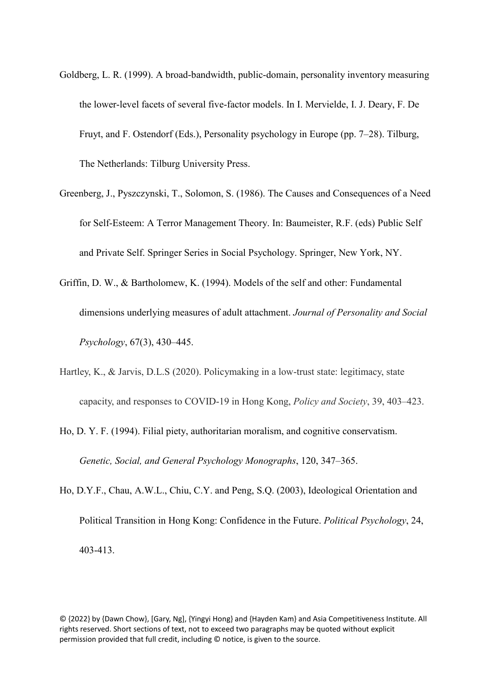- Goldberg, L. R. (1999). A broad-bandwidth, public-domain, personality inventory measuring the lower-level facets of several five-factor models. In I. Mervielde, I. J. Deary, F. De Fruyt, and F. Ostendorf (Eds.), Personality psychology in Europe (pp. 7–28). Tilburg, The Netherlands: Tilburg University Press.
- Greenberg, J., Pyszczynski, T., Solomon, S. (1986). The Causes and Consequences of a Need for Self-Esteem: A Terror Management Theory. In: Baumeister, R.F. (eds) Public Self and Private Self. Springer Series in Social Psychology. Springer, New York, NY.
- Griffin, D. W., & Bartholomew, K. (1994). Models of the self and other: Fundamental dimensions underlying measures of adult attachment. *Journal of Personality and Social Psychology*, 67(3), 430–445.
- Hartley, K., & Jarvis, D.L.S (2020). Policymaking in a low-trust state: legitimacy, state capacity, and responses to COVID-19 in Hong Kong, *Policy and Society*, 39, 403–423.
- Ho, D. Y. F. (1994). Filial piety, authoritarian moralism, and cognitive conservatism. *Genetic, Social, and General Psychology Monographs*, 120, 347–365.
- Ho, D.Y.F., Chau, A.W.L., Chiu, C.Y. and Peng, S.Q. (2003), Ideological Orientation and Political Transition in Hong Kong: Confidence in the Future. *Political Psychology*, 24, 403-413.

<sup>© {2022}</sup> by {Dawn Chow}, [Gary, Ng], {Yingyi Hong} and {Hayden Kam} and Asia Competitiveness Institute. All rights reserved. Short sections of text, not to exceed two paragraphs may be quoted without explicit permission provided that full credit, including © notice, is given to the source.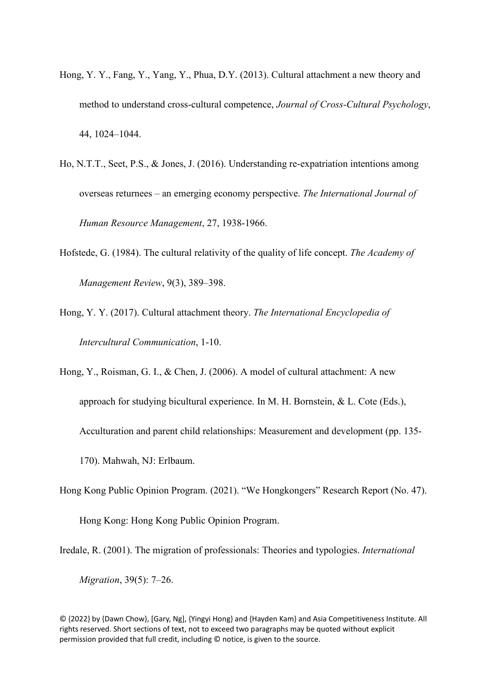- Hong, Y. Y., Fang, Y., Yang, Y., Phua, D.Y. (2013). Cultural attachment a new theory and method to understand cross-cultural competence, *Journal of Cross-Cultural Psychology*, 44, 1024–1044.
- Ho, N.T.T., Seet, P.S., & Jones, J. (2016). Understanding re-expatriation intentions among overseas returnees – an emerging economy perspective. *The International Journal of Human Resource Management*, 27, 1938-1966.
- Hofstede, G. (1984). The cultural relativity of the quality of life concept. *The Academy of Management Review*, 9(3), 389–398.
- Hong, Y. Y. (2017). Cultural attachment theory. *The International Encyclopedia of Intercultural Communication*, 1-10.

Hong, Y., Roisman, G. I., & Chen, J. (2006). A model of cultural attachment: A new approach for studying bicultural experience. In M. H. Bornstein, & L. Cote (Eds.), Acculturation and parent child relationships: Measurement and development (pp. 135- 170). Mahwah, NJ: Erlbaum.

Hong Kong Public Opinion Program. (2021). "We Hongkongers" Research Report (No. 47).

Hong Kong: Hong Kong Public Opinion Program.

Iredale, R. (2001). The migration of professionals: Theories and typologies. *International* 

*Migration*, 39(5): 7–26.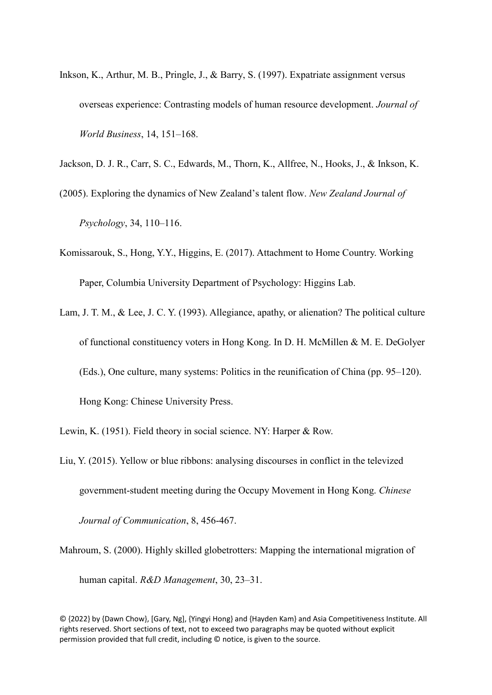Inkson, K., Arthur, M. B., Pringle, J., & Barry, S. (1997). Expatriate assignment versus overseas experience: Contrasting models of human resource development. *Journal of World Business*, 14, 151–168.

Jackson, D. J. R., Carr, S. C., Edwards, M., Thorn, K., Allfree, N., Hooks, J., & Inkson, K.

- (2005). Exploring the dynamics of New Zealand's talent flow. *New Zealand Journal of Psychology*, 34, 110–116.
- Komissarouk, S., Hong, Y.Y., Higgins, E. (2017). Attachment to Home Country. Working Paper, Columbia University Department of Psychology: Higgins Lab.
- Lam, J. T. M., & Lee, J. C. Y. (1993). Allegiance, apathy, or alienation? The political culture of functional constituency voters in Hong Kong. In D. H. McMillen & M. E. DeGolyer (Eds.), One culture, many systems: Politics in the reunification of China (pp. 95–120). Hong Kong: Chinese University Press.

Lewin, K. (1951). Field theory in social science. NY: Harper & Row.

Liu, Y. (2015). Yellow or blue ribbons: analysing discourses in conflict in the televized government-student meeting during the Occupy Movement in Hong Kong. *Chinese Journal of Communication*, 8, 456-467.

Mahroum, S. (2000). Highly skilled globetrotters: Mapping the international migration of human capital. *R&D Management*, 30, 23–31.

© {2022} by {Dawn Chow}, [Gary, Ng], {Yingyi Hong} and {Hayden Kam} and Asia Competitiveness Institute. All rights reserved. Short sections of text, not to exceed two paragraphs may be quoted without explicit

permission provided that full credit, including © notice, is given to the source.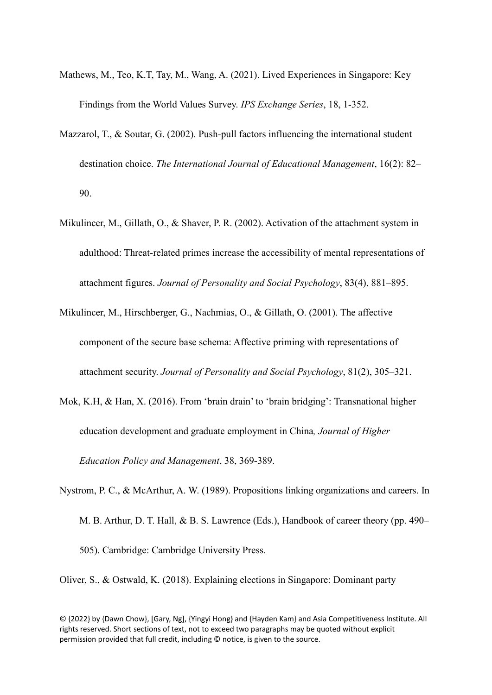- Mathews, M., Teo, K.T, Tay, M., Wang, A. (2021). Lived Experiences in Singapore: Key Findings from the World Values Survey. *IPS Exchange Series*, 18, 1-352.
- Mazzarol, T., & Soutar, G. (2002). Push-pull factors influencing the international student destination choice. *The International Journal of Educational Management*, 16(2): 82– 90.
- Mikulincer, M., Gillath, O., & Shaver, P. R. (2002). Activation of the attachment system in adulthood: Threat-related primes increase the accessibility of mental representations of attachment figures. *Journal of Personality and Social Psychology*, 83(4), 881–895.
- Mikulincer, M., Hirschberger, G., Nachmias, O., & Gillath, O. (2001). The affective component of the secure base schema: Affective priming with representations of attachment security. *Journal of Personality and Social Psychology*, 81(2), 305–321.
- Mok, K.H, & Han, X. (2016). From 'brain drain' to 'brain bridging': Transnational higher education development and graduate employment in China*, Journal of Higher Education Policy and Management*, 38, 369-389.
- Nystrom, P. C., & McArthur, A. W. (1989). Propositions linking organizations and careers. In M. B. Arthur, D. T. Hall, & B. S. Lawrence (Eds.), Handbook of career theory (pp. 490– 505). Cambridge: Cambridge University Press.

Oliver, S., & Ostwald, K. (2018). Explaining elections in Singapore: Dominant party

<sup>© {2022}</sup> by {Dawn Chow}, [Gary, Ng], {Yingyi Hong} and {Hayden Kam} and Asia Competitiveness Institute. All rights reserved. Short sections of text, not to exceed two paragraphs may be quoted without explicit permission provided that full credit, including © notice, is given to the source.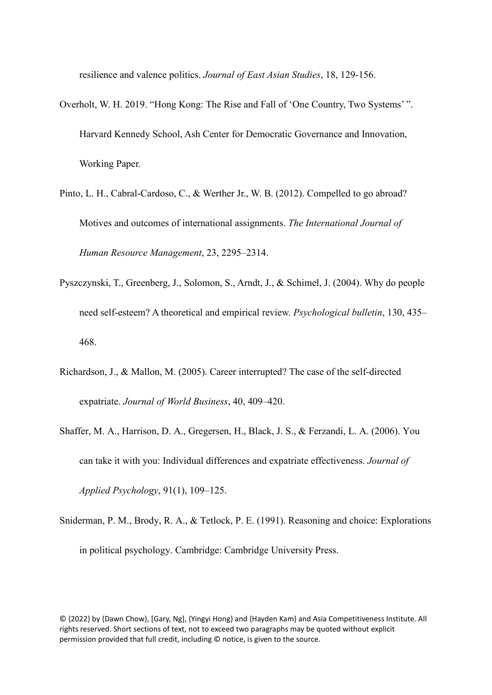resilience and valence politics. *Journal of East Asian Studies*, 18, 129-156.

- Overholt, W. H. 2019. "Hong Kong: The Rise and Fall of 'One Country, Two Systems' ". Harvard Kennedy School, Ash Center for Democratic Governance and Innovation, Working Paper.
- Pinto, L. H., Cabral-Cardoso, C., & Werther Jr., W. B. (2012). Compelled to go abroad? Motives and outcomes of international assignments. *The International Journal of Human Resource Management*, 23, 2295–2314.
- Pyszczynski, T., Greenberg, J., Solomon, S., Arndt, J., & Schimel, J. (2004). Why do people need self-esteem? A theoretical and empirical review. *Psychological bulletin*, 130, 435– 468.
- Richardson, J., & Mallon, M. (2005). Career interrupted? The case of the self-directed expatriate. *Journal of World Business*, 40, 409–420.
- Shaffer, M. A., Harrison, D. A., Gregersen, H., Black, J. S., & Ferzandi, L. A. (2006). You can take it with you: Individual differences and expatriate effectiveness. *Journal of Applied Psychology*, 91(1), 109–125.
- Sniderman, P. M., Brody, R. A., & Tetlock, P. E. (1991). Reasoning and choice: Explorations in political psychology. Cambridge: Cambridge University Press.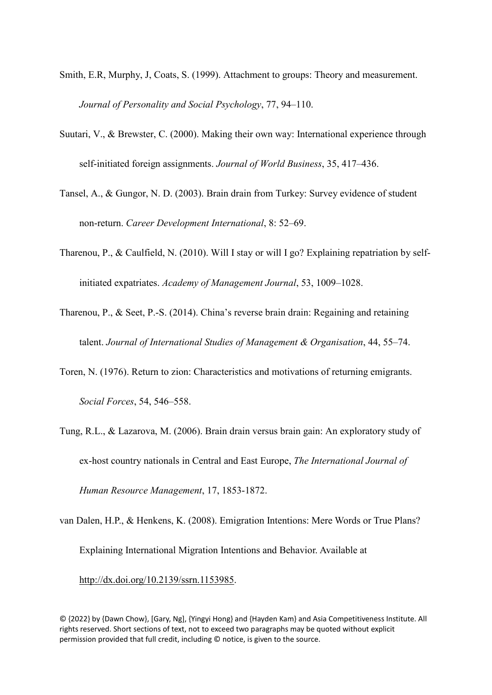- Smith, E.R, Murphy, J, Coats, S. (1999). Attachment to groups: Theory and measurement. *Journal of Personality and Social Psychology*, 77, 94–110.
- Suutari, V., & Brewster, C. (2000). Making their own way: International experience through self-initiated foreign assignments. *Journal of World Business*, 35, 417–436.
- Tansel, A., & Gungor, N. D. (2003). Brain drain from Turkey: Survey evidence of student non-return. *Career Development International*, 8: 52–69.
- Tharenou, P., & Caulfield, N. (2010). Will I stay or will I go? Explaining repatriation by selfinitiated expatriates. *Academy of Management Journal*, 53, 1009–1028.
- Tharenou, P., & Seet, P.-S. (2014). China's reverse brain drain: Regaining and retaining talent. *Journal of International Studies of Management & Organisation*, 44, 55–74.
- Toren, N. (1976). Return to zion: Characteristics and motivations of returning emigrants. *Social Forces*, 54, 546–558.
- Tung, R.L., & Lazarova, M. (2006). Brain drain versus brain gain: An exploratory study of ex-host country nationals in Central and East Europe, *The International Journal of Human Resource Management*, 17, 1853-1872.

van Dalen, H.P., & Henkens, K. (2008). Emigration Intentions: Mere Words or True Plans? Explaining International Migration Intentions and Behavior. Available at [http://dx.doi.org/10.2139/ssrn.1153985.](https://dx.doi.org/10.2139/ssrn.1153985)